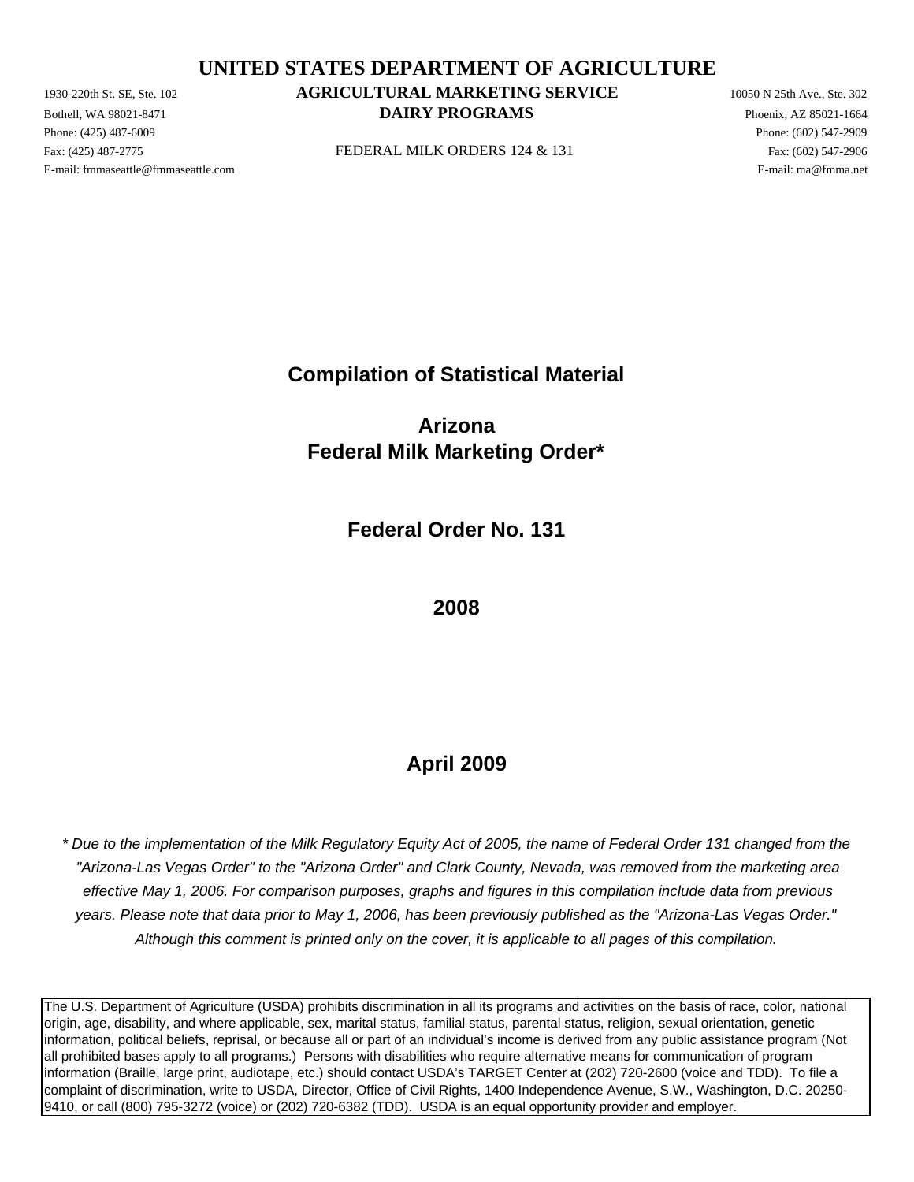**UNITED STATES DEPARTMENT OF AGRICULTURE**

Phone: (425) 487-6009 Phone: (602) 547-2909 E-mail: fmmaseattle@fmmaseattle.com E-mail: ma@fmma.net

# 1930-220th St. SE, Ste. 102 **AGRICULTURAL MARKETING SERVICE** 10050 N 25th Ave., Ste. 302 **Bothell, WA 98021-8471 DAIRY PROGRAMS** Phoenix, AZ 85021-1664

Fax: (425) 487-2775 **FEDERAL MILK ORDERS** 124 & 131 **Fax: (425) 487-2706** 

**Compilation of Statistical Material**

**Arizona Federal Milk Marketing Order\***

**Federal Order No. 131**

**2008**

# **April 2009**

 *"Arizona-Las Vegas Order" to the "Arizona Order" and Clark County, Nevada, was removed from the marketing area effective May 1, 2006. For comparison purposes, graphs and figures in this compilation include data from previous \* Due to the implementation of the Milk Regulatory Equity Act of 2005, the name of Federal Order 131 changed from the years. Please note that data prior to May 1, 2006, has been previously published as the "Arizona-Las Vegas Order." Although this comment is printed only on the cover, it is applicable to all pages of this compilation.*

The U.S. Department of Agriculture (USDA) prohibits discrimination in all its programs and activities on the basis of race, color, national origin, age, disability, and where applicable, sex, marital status, familial status, parental status, religion, sexual orientation, genetic information, political beliefs, reprisal, or because all or part of an individual's income is derived from any public assistance program (Not all prohibited bases apply to all programs.) Persons with disabilities who require alternative means for communication of program information (Braille, large print, audiotape, etc.) should contact USDA's TARGET Center at (202) 720-2600 (voice and TDD). To file a complaint of discrimination, write to USDA, Director, Office of Civil Rights, 1400 Independence Avenue, S.W., Washington, D.C. 20250- 9410, or call (800) 795-3272 (voice) or (202) 720-6382 (TDD). USDA is an equal opportunity provider and employer.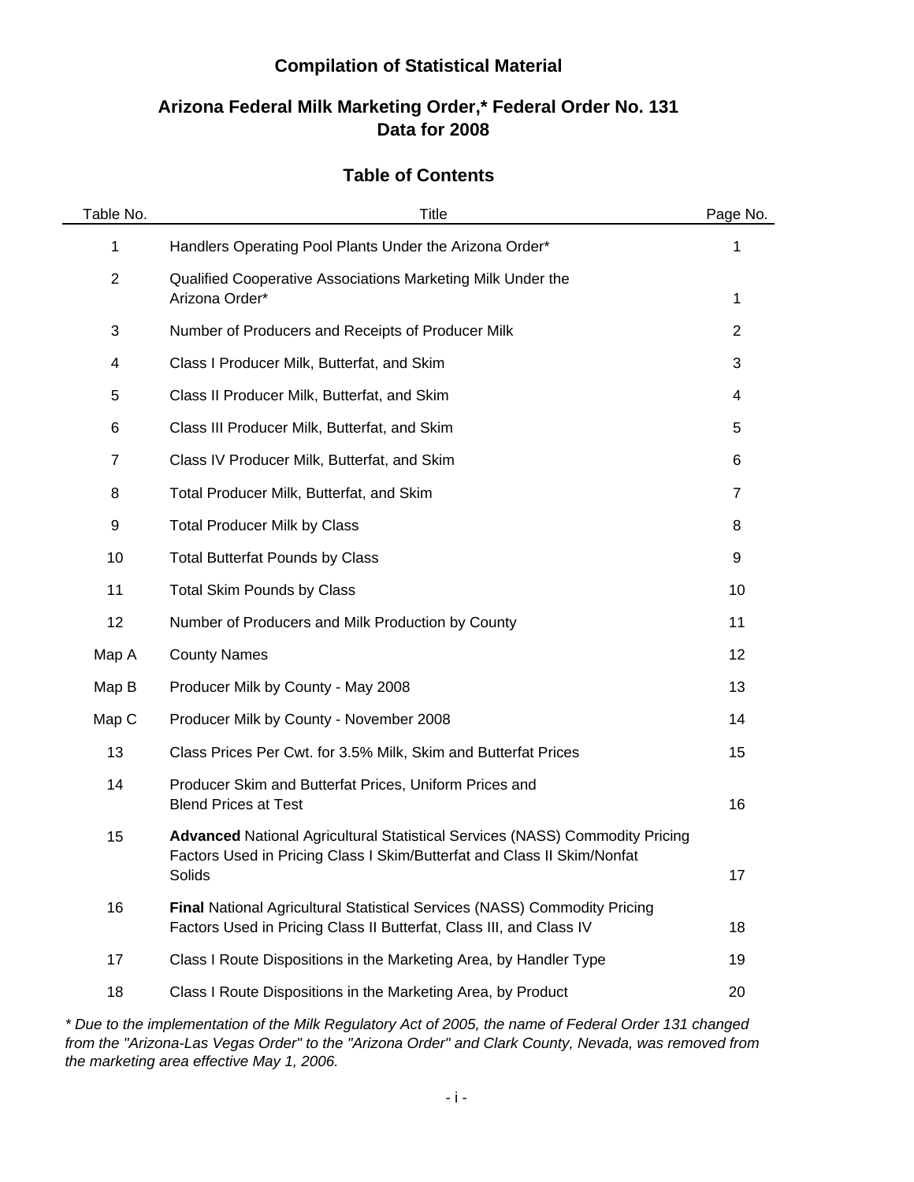## **Compilation of Statistical Material**

## **Data for 2008 Arizona Federal Milk Marketing Order,\* Federal Order No. 131**

## **Table of Contents**

| Table No.      | Title                                                                                                                                                                    | Page No.       |
|----------------|--------------------------------------------------------------------------------------------------------------------------------------------------------------------------|----------------|
| 1              | Handlers Operating Pool Plants Under the Arizona Order*                                                                                                                  | 1              |
| $\overline{2}$ | Qualified Cooperative Associations Marketing Milk Under the<br>Arizona Order*                                                                                            | 1              |
| 3              | Number of Producers and Receipts of Producer Milk                                                                                                                        | $\overline{2}$ |
| 4              | Class I Producer Milk, Butterfat, and Skim                                                                                                                               | 3              |
| 5              | Class II Producer Milk, Butterfat, and Skim                                                                                                                              | 4              |
| 6              | Class III Producer Milk, Butterfat, and Skim                                                                                                                             | 5              |
| $\overline{7}$ | Class IV Producer Milk, Butterfat, and Skim                                                                                                                              | 6              |
| 8              | Total Producer Milk, Butterfat, and Skim                                                                                                                                 | $\overline{7}$ |
| 9              | <b>Total Producer Milk by Class</b>                                                                                                                                      | 8              |
| 10             | <b>Total Butterfat Pounds by Class</b>                                                                                                                                   | 9              |
| 11             | <b>Total Skim Pounds by Class</b>                                                                                                                                        | 10             |
| 12             | Number of Producers and Milk Production by County                                                                                                                        | 11             |
| Map A          | <b>County Names</b>                                                                                                                                                      | 12             |
| Map B          | Producer Milk by County - May 2008                                                                                                                                       | 13             |
| Map C          | Producer Milk by County - November 2008                                                                                                                                  | 14             |
| 13             | Class Prices Per Cwt. for 3.5% Milk, Skim and Butterfat Prices                                                                                                           | 15             |
| 14             | Producer Skim and Butterfat Prices, Uniform Prices and<br><b>Blend Prices at Test</b>                                                                                    | 16             |
| 15             | <b>Advanced National Agricultural Statistical Services (NASS) Commodity Pricing</b><br>Factors Used in Pricing Class I Skim/Butterfat and Class II Skim/Nonfat<br>Solids | 17             |
| 16             | Final National Agricultural Statistical Services (NASS) Commodity Pricing<br>Factors Used in Pricing Class II Butterfat, Class III, and Class IV                         | 18             |
| 17             | Class I Route Dispositions in the Marketing Area, by Handler Type                                                                                                        | 19             |
| 18             | Class I Route Dispositions in the Marketing Area, by Product                                                                                                             | 20             |

*\* Due to the implementation of the Milk Regulatory Act of 2005, the name of Federal Order 131 changed from the "Arizona-Las Vegas Order" to the "Arizona Order" and Clark County, Nevada, was removed from the marketing area effective May 1, 2006.*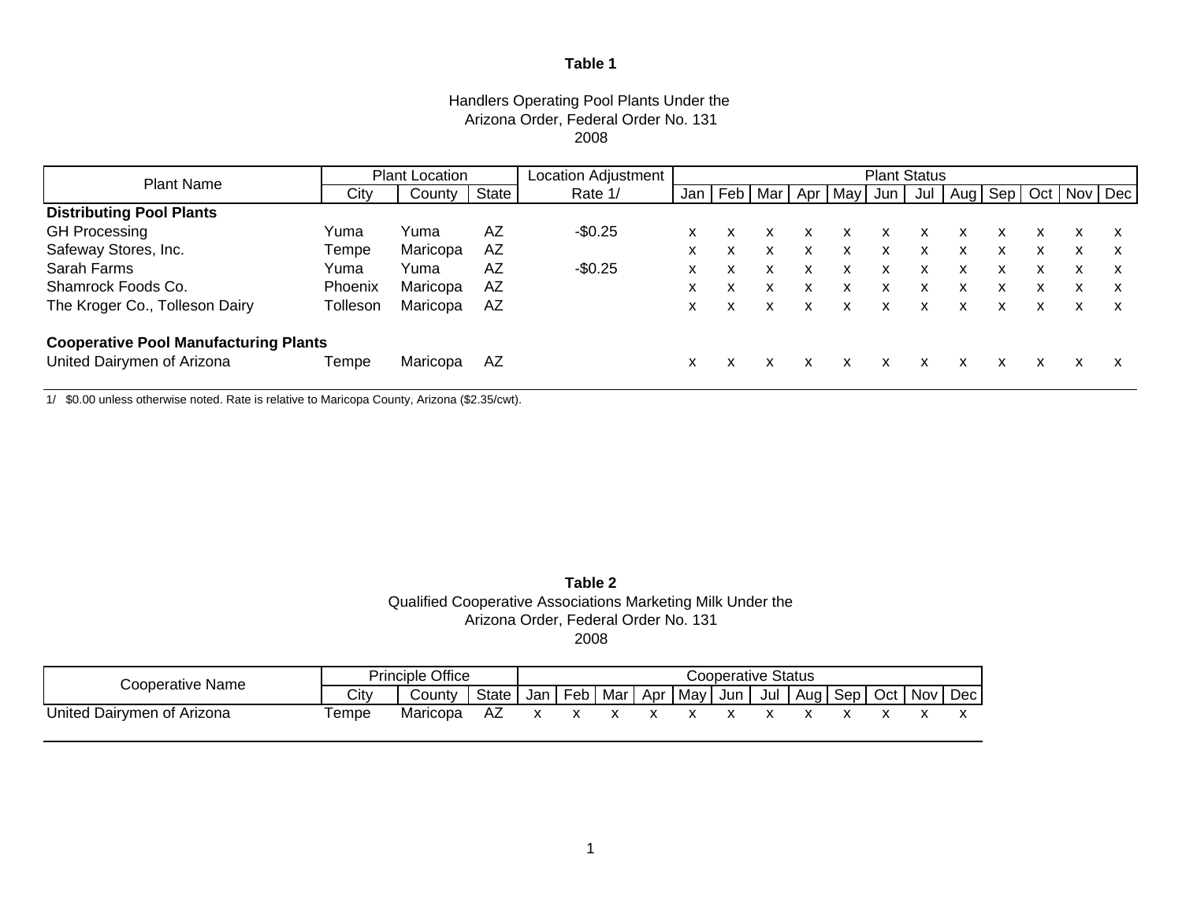### Handlers Operating Pool Plants Under the Arizona Order, Federal Order No. 131 2008

| <b>Plant Name</b>                            |                | Location Adjustment<br><b>Plant Status</b><br><b>Plant Location</b> |       |          |     |  |                 |   |   |             |   |   |   |   |                             |   |
|----------------------------------------------|----------------|---------------------------------------------------------------------|-------|----------|-----|--|-----------------|---|---|-------------|---|---|---|---|-----------------------------|---|
|                                              | Citv           | County                                                              | State | Rate 1/  | Jan |  | Feb   Mar   Apr |   |   | May Jun Jul |   |   |   |   | Aug   Sep   Oct   Nov   Dec |   |
| <b>Distributing Pool Plants</b>              |                |                                                                     |       |          |     |  |                 |   |   |             |   |   |   |   |                             |   |
| <b>GH Processing</b>                         | Yuma           | Yuma                                                                | AZ    | $-$0.25$ | x   |  |                 | x |   | x           | x | x |   | x | X                           |   |
| Safeway Stores, Inc.                         | Tempe          | Maricopa                                                            | AZ    |          | x   |  |                 | x | x | x           | x | x | x | x | x                           | x |
| Sarah Farms                                  | Yuma           | Yuma                                                                | AZ    | $-$0.25$ | x   |  |                 | x |   | x           | x | x |   | x | x                           |   |
| Shamrock Foods Co.                           | <b>Phoenix</b> | Maricopa                                                            | AZ    |          | x   |  |                 | x |   | x           | x | x |   | x |                             | x |
| The Kroger Co., Tolleson Dairy               | Tolleson       | Maricopa                                                            | AZ    |          | x   |  |                 | X |   | X           | x | x |   | x |                             |   |
| <b>Cooperative Pool Manufacturing Plants</b> |                |                                                                     |       |          |     |  |                 |   |   |             |   |   |   |   |                             |   |
| United Dairymen of Arizona                   | Tempe          | Maricopa                                                            | AZ    |          | X   |  |                 | x |   | x           | x | x |   | x | x                           |   |

1/ \$0.00 unless otherwise noted. Rate is relative to Maricopa County, Arizona (\$2.35/cwt).

### **Table 2** Qualified Cooperative Associations Marketing Milk Under the Arizona Order, Federal Order No. 131 2008

| Cooperative Name           | <b>Principle Office</b><br><b>Cooperative Status</b> |          |       |  |  |  |                                   |  |                             |  |       |
|----------------------------|------------------------------------------------------|----------|-------|--|--|--|-----------------------------------|--|-----------------------------|--|-------|
|                            | City                                                 | Countv   | State |  |  |  | Jan   Feb   Mar   Apr   May   Jun |  | Jul   Aug   Sep   Oct   Nov |  | Dec I |
| United Dairymen of Arizona | ™empe                                                | Maricopa |       |  |  |  |                                   |  |                             |  |       |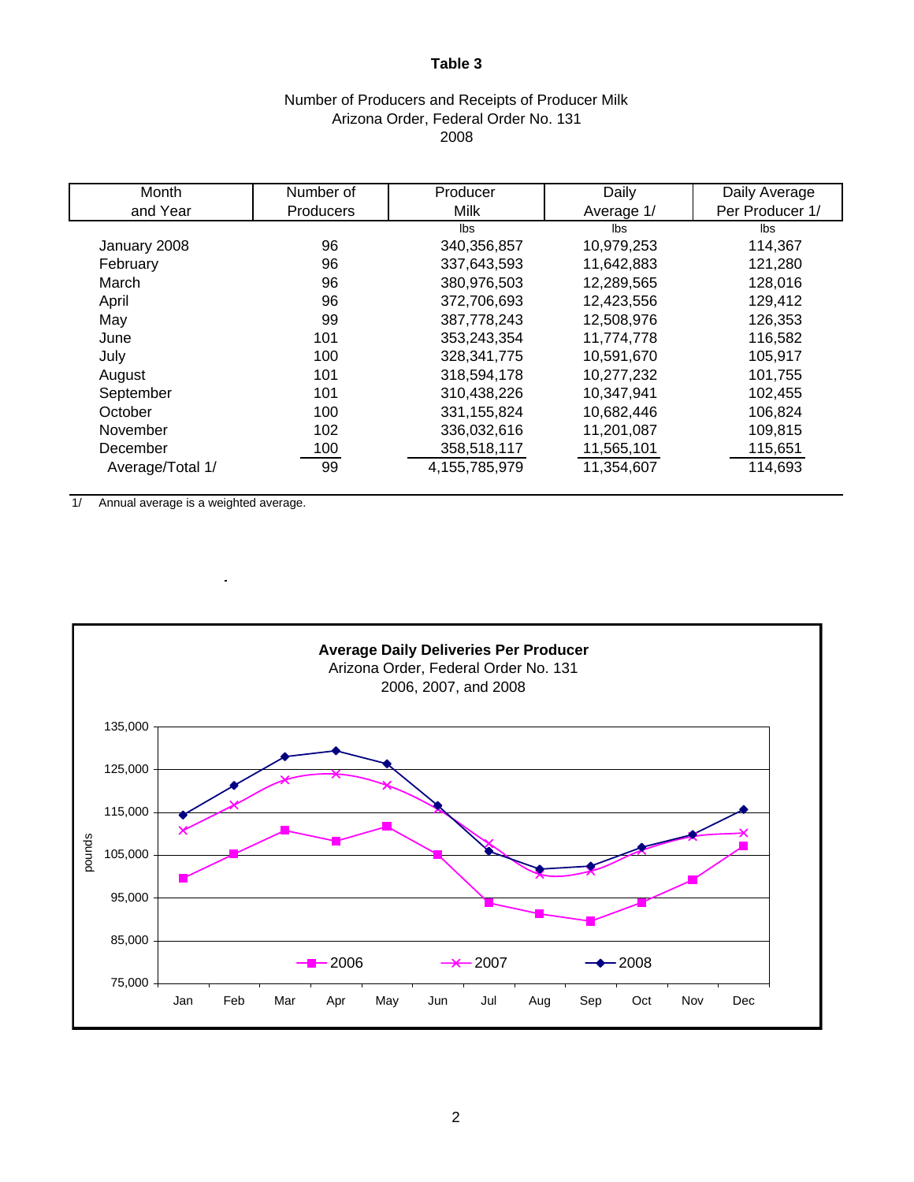## Number of Producers and Receipts of Producer Milk Arizona Order, Federal Order No. 131 2008

| Month            | Number of | Producer      | Daily      | Daily Average   |
|------------------|-----------|---------------|------------|-----------------|
| and Year         | Producers | Milk          | Average 1/ | Per Producer 1/ |
|                  |           | lbs           | lbs        | lbs             |
| January 2008     | 96        | 340,356,857   | 10,979,253 | 114,367         |
| February         | 96        | 337,643,593   | 11,642,883 | 121,280         |
| March            | 96        | 380,976,503   | 12,289,565 | 128,016         |
| April            | 96        | 372,706,693   | 12,423,556 | 129,412         |
| May              | 99        | 387,778,243   | 12,508,976 | 126,353         |
| June             | 101       | 353,243,354   | 11,774,778 | 116,582         |
| July             | 100       | 328, 341, 775 | 10,591,670 | 105,917         |
| August           | 101       | 318,594,178   | 10,277,232 | 101,755         |
| September        | 101       | 310,438,226   | 10,347,941 | 102,455         |
| October          | 100       | 331, 155, 824 | 10,682,446 | 106,824         |
| November         | 102       | 336,032,616   | 11,201,087 | 109,815         |
| December         | 100       | 358,518,117   | 11,565,101 | 115,651         |
| Average/Total 1/ | 99        | 4,155,785,979 | 11,354,607 | 114,693         |

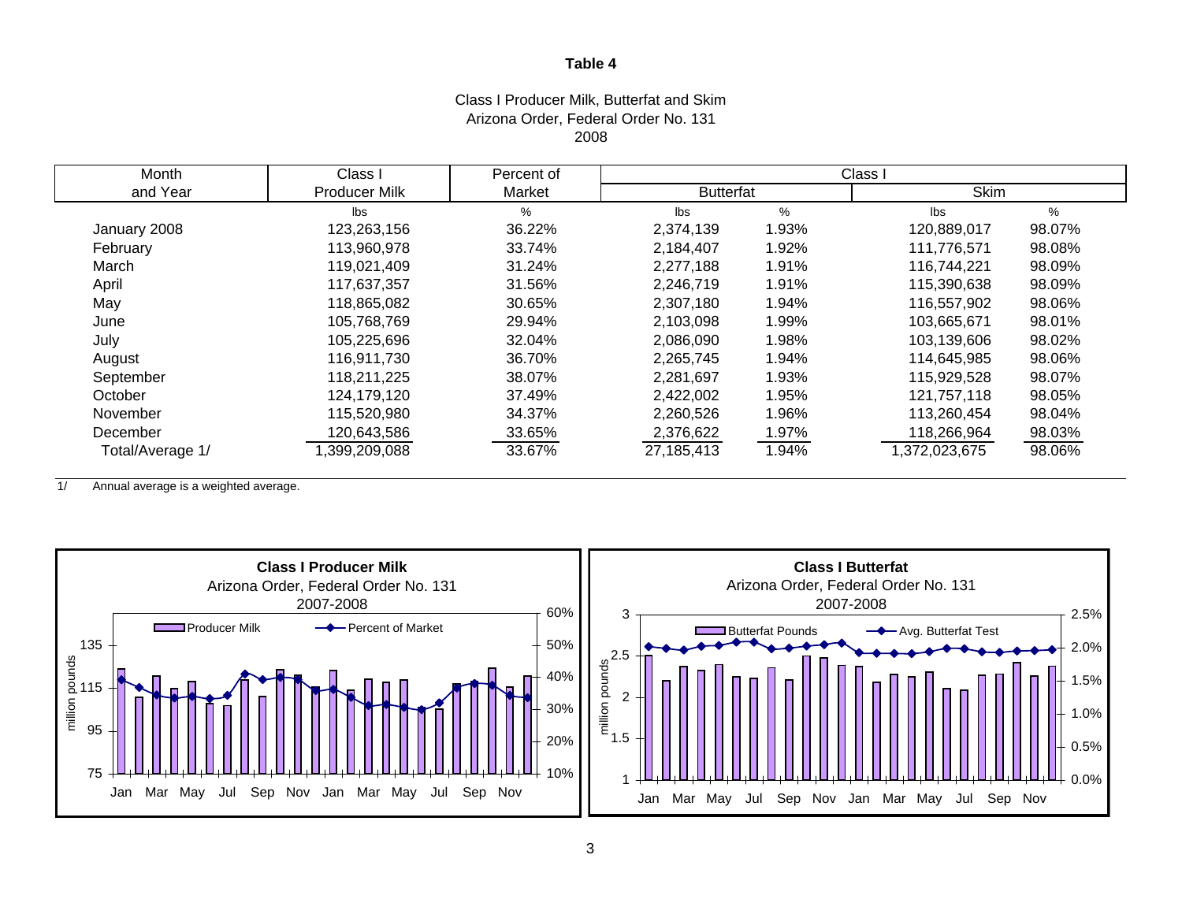#### Class I Producer Milk, Butterfat and Skim Arizona Order, Federal Order No. 131 2008

| Month            | Class I              | Percent of | Class I          |       |               |        |  |
|------------------|----------------------|------------|------------------|-------|---------------|--------|--|
| and Year         | <b>Producer Milk</b> | Market     | <b>Butterfat</b> |       | <b>Skim</b>   |        |  |
|                  | lbs                  | $\%$       | Ibs              | $\%$  | lbs           | $\%$   |  |
| January 2008     | 123,263,156          | 36.22%     | 2,374,139        | 1.93% | 120,889,017   | 98.07% |  |
| February         | 113,960,978          | 33.74%     | 2,184,407        | 1.92% | 111,776,571   | 98.08% |  |
| March            | 119,021,409          | 31.24%     | 2,277,188        | 1.91% | 116,744,221   | 98.09% |  |
| April            | 117,637,357          | 31.56%     | 2,246,719        | 1.91% | 115,390,638   | 98.09% |  |
| May              | 118,865,082          | 30.65%     | 2,307,180        | 1.94% | 116,557,902   | 98.06% |  |
| June             | 105,768,769          | 29.94%     | 2,103,098        | 1.99% | 103,665,671   | 98.01% |  |
| July             | 105,225,696          | 32.04%     | 2,086,090        | 1.98% | 103,139,606   | 98.02% |  |
| August           | 116,911,730          | 36.70%     | 2,265,745        | 1.94% | 114,645,985   | 98.06% |  |
| September        | 118,211,225          | 38.07%     | 2,281,697        | 1.93% | 115,929,528   | 98.07% |  |
| October          | 124,179,120          | 37.49%     | 2,422,002        | 1.95% | 121,757,118   | 98.05% |  |
| November         | 115,520,980          | 34.37%     | 2,260,526        | 1.96% | 113,260,454   | 98.04% |  |
| December         | 120,643,586          | 33.65%     | 2,376,622        | 1.97% | 118,266,964   | 98.03% |  |
| Total/Average 1/ | ,399,209,088         | 33.67%     | 27,185,413       | 1.94% | 1,372,023,675 | 98.06% |  |

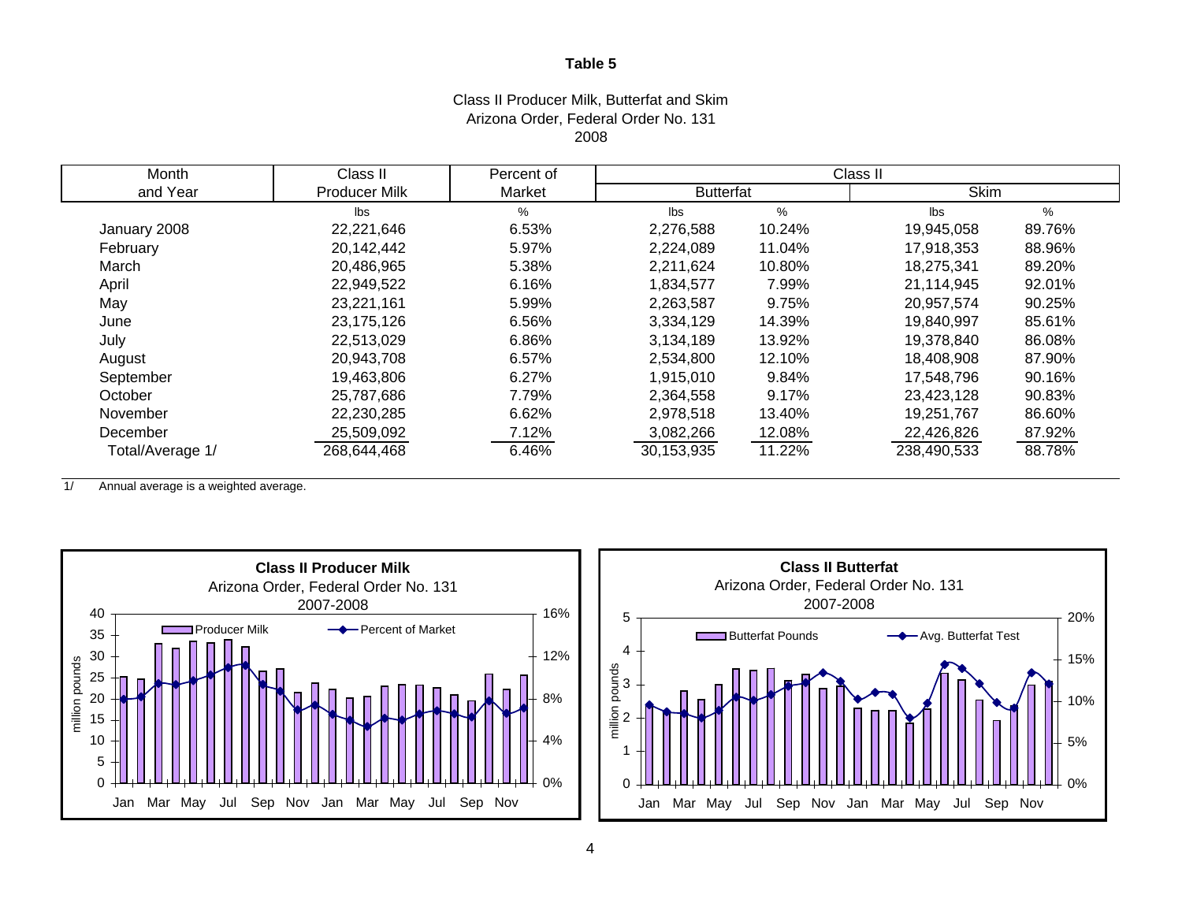#### Class II Producer Milk, Butterfat and Skim Arizona Order, Federal Order No. 131 2008

| Month            | Class II             | Percent of | Class II         |        |             |        |  |
|------------------|----------------------|------------|------------------|--------|-------------|--------|--|
| and Year         | <b>Producer Milk</b> | Market     | <b>Butterfat</b> |        | <b>Skim</b> |        |  |
|                  | Ibs                  | $\%$       | Ibs              | $\%$   | lbs         | %      |  |
| January 2008     | 22,221,646           | 6.53%      | 2,276,588        | 10.24% | 19,945,058  | 89.76% |  |
| February         | 20,142,442           | 5.97%      | 2,224,089        | 11.04% | 17,918,353  | 88.96% |  |
| March            | 20,486,965           | 5.38%      | 2,211,624        | 10.80% | 18,275,341  | 89.20% |  |
| April            | 22,949,522           | 6.16%      | 1,834,577        | 7.99%  | 21,114,945  | 92.01% |  |
| May              | 23,221,161           | 5.99%      | 2,263,587        | 9.75%  | 20,957,574  | 90.25% |  |
| June             | 23,175,126           | 6.56%      | 3,334,129        | 14.39% | 19,840,997  | 85.61% |  |
| July             | 22,513,029           | 6.86%      | 3,134,189        | 13.92% | 19,378,840  | 86.08% |  |
| August           | 20,943,708           | 6.57%      | 2,534,800        | 12.10% | 18,408,908  | 87.90% |  |
| September        | 19,463,806           | 6.27%      | 1,915,010        | 9.84%  | 17,548,796  | 90.16% |  |
| October          | 25,787,686           | 7.79%      | 2,364,558        | 9.17%  | 23,423,128  | 90.83% |  |
| November         | 22,230,285           | 6.62%      | 2,978,518        | 13.40% | 19,251,767  | 86.60% |  |
| December         | 25,509,092           | 7.12%      | 3,082,266        | 12.08% | 22,426,826  | 87.92% |  |
| Total/Average 1/ | 268,644,468          | 6.46%      | 30,153,935       | 11.22% | 238,490,533 | 88.78% |  |



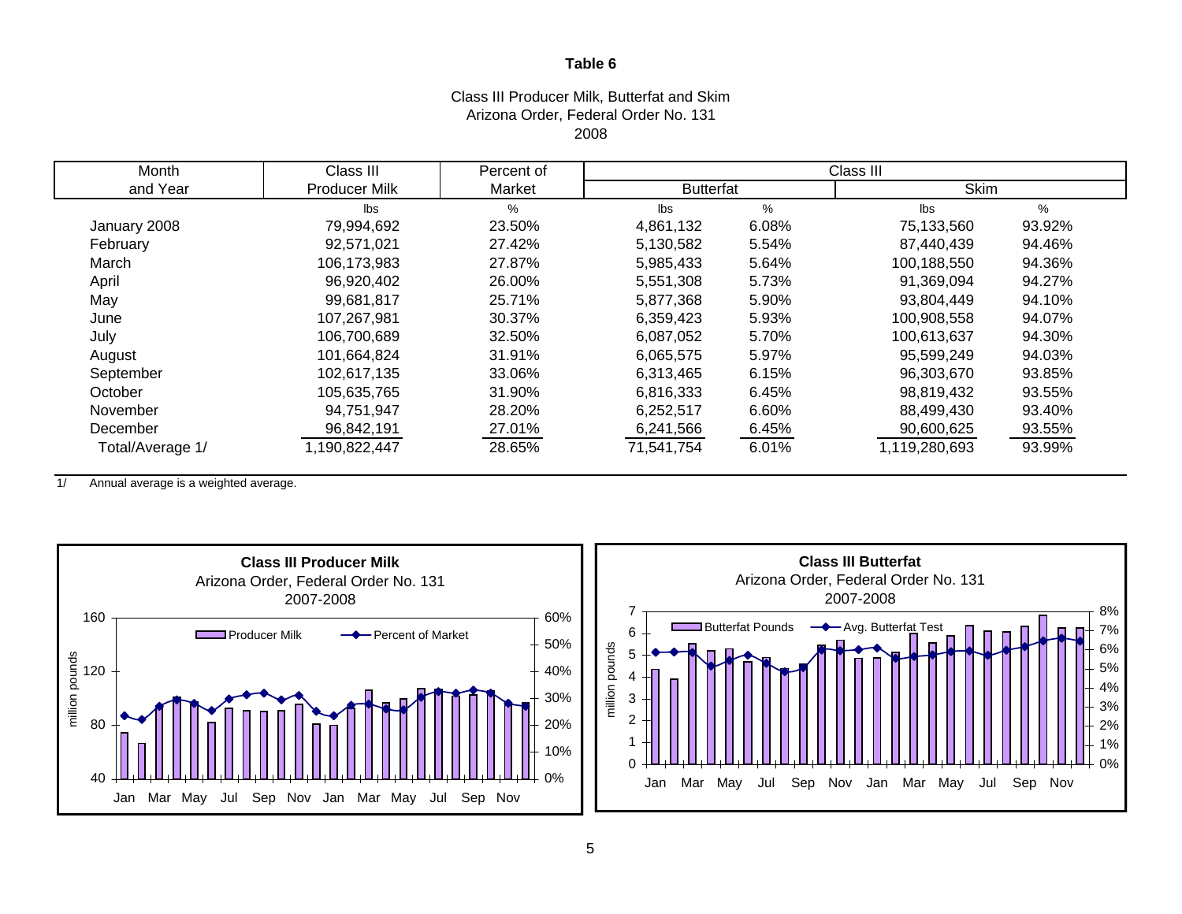#### Class III Producer Milk, Butterfat and Skim Arizona Order, Federal Order No. 131 2008

| Month            | Class III            | Percent of | Class III        |       |               |        |  |  |
|------------------|----------------------|------------|------------------|-------|---------------|--------|--|--|
| and Year         | <b>Producer Milk</b> | Market     | <b>Butterfat</b> |       | <b>Skim</b>   |        |  |  |
|                  | Ibs                  | %          | lbs              | %     | lbs           | %      |  |  |
| January 2008     | 79,994,692           | 23.50%     | 4,861,132        | 6.08% | 75,133,560    | 93.92% |  |  |
| February         | 92,571,021           | 27.42%     | 5,130,582        | 5.54% | 87,440,439    | 94.46% |  |  |
| March            | 106,173,983          | 27.87%     | 5,985,433        | 5.64% | 100,188,550   | 94.36% |  |  |
| April            | 96,920,402           | 26.00%     | 5,551,308        | 5.73% | 91,369,094    | 94.27% |  |  |
| May              | 99,681,817           | 25.71%     | 5,877,368        | 5.90% | 93,804,449    | 94.10% |  |  |
| June             | 107,267,981          | 30.37%     | 6,359,423        | 5.93% | 100,908,558   | 94.07% |  |  |
| July             | 106,700,689          | 32.50%     | 6,087,052        | 5.70% | 100,613,637   | 94.30% |  |  |
| August           | 101,664,824          | 31.91%     | 6,065,575        | 5.97% | 95,599,249    | 94.03% |  |  |
| September        | 102,617,135          | 33.06%     | 6,313,465        | 6.15% | 96,303,670    | 93.85% |  |  |
| October          | 105,635,765          | 31.90%     | 6,816,333        | 6.45% | 98,819,432    | 93.55% |  |  |
| November         | 94,751,947           | 28.20%     | 6,252,517        | 6.60% | 88,499,430    | 93.40% |  |  |
| December         | 96,842,191           | 27.01%     | 6,241,566        | 6.45% | 90,600,625    | 93.55% |  |  |
| Total/Average 1/ | 1,190,822,447        | 28.65%     | 71,541,754       | 6.01% | 1,119,280,693 | 93.99% |  |  |

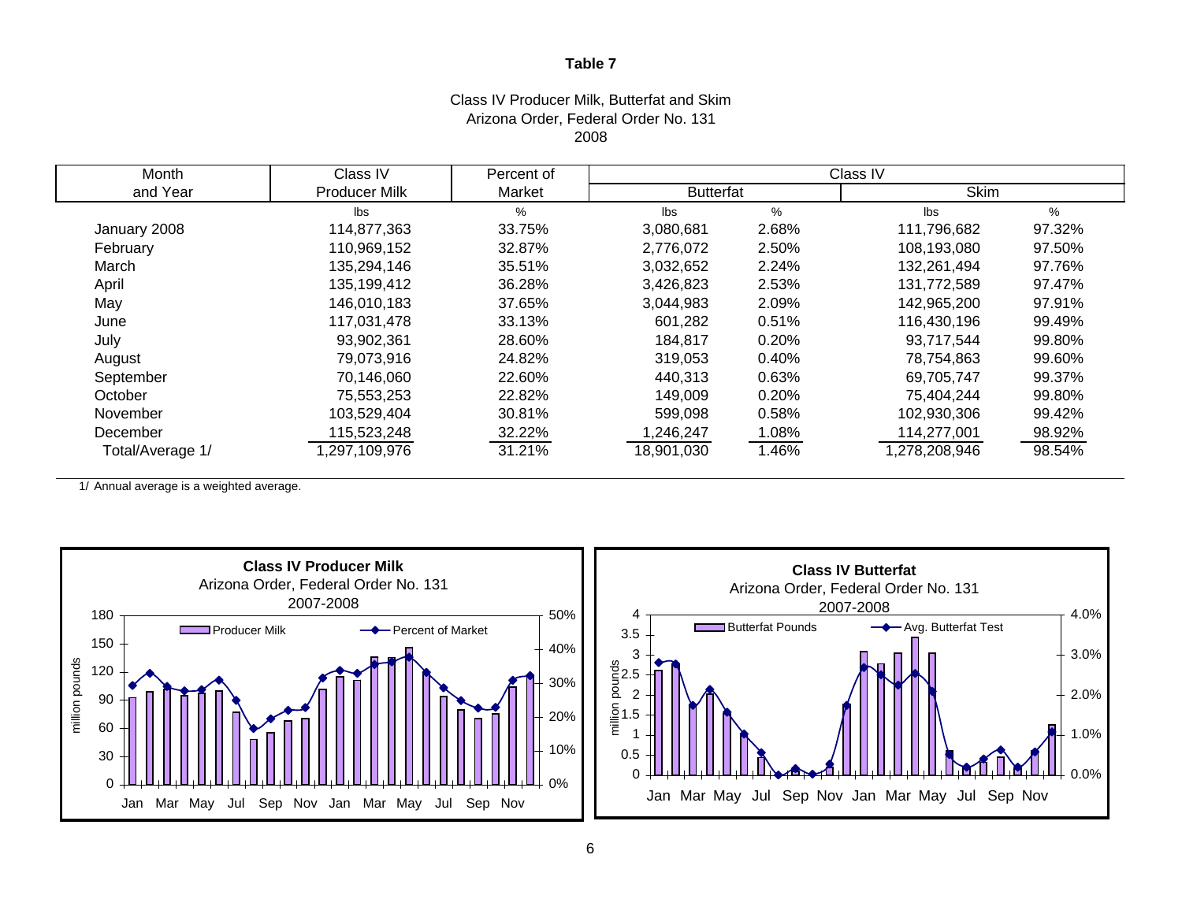#### Class IV Producer Milk, Butterfat and Skim Arizona Order, Federal Order No. 131 2008

| Month            | Class IV      | Percent of |                  |               | Class IV      |        |
|------------------|---------------|------------|------------------|---------------|---------------|--------|
| and Year         | Producer Milk | Market     | <b>Butterfat</b> |               | <b>Skim</b>   |        |
|                  | Ibs           | %          | lbs              | $\frac{0}{0}$ | lbs           | %      |
| January 2008     | 114,877,363   | 33.75%     | 3,080,681        | 2.68%         | 111,796,682   | 97.32% |
| February         | 110,969,152   | 32.87%     | 2,776,072        | 2.50%         | 108,193,080   | 97.50% |
| March            | 135,294,146   | 35.51%     | 3,032,652        | 2.24%         | 132,261,494   | 97.76% |
| April            | 135,199,412   | 36.28%     | 3,426,823        | 2.53%         | 131,772,589   | 97.47% |
| May              | 146,010,183   | 37.65%     | 3,044,983        | 2.09%         | 142,965,200   | 97.91% |
| June             | 117,031,478   | 33.13%     | 601,282          | 0.51%         | 116,430,196   | 99.49% |
| July             | 93,902,361    | 28.60%     | 184,817          | 0.20%         | 93,717,544    | 99.80% |
| August           | 79,073,916    | 24.82%     | 319,053          | 0.40%         | 78,754,863    | 99.60% |
| September        | 70,146,060    | 22.60%     | 440,313          | 0.63%         | 69,705,747    | 99.37% |
| October          | 75,553,253    | 22.82%     | 149,009          | 0.20%         | 75,404,244    | 99.80% |
| November         | 103,529,404   | 30.81%     | 599,098          | 0.58%         | 102,930,306   | 99.42% |
| December         | 115,523,248   | 32.22%     | 1,246,247        | 1.08%         | 114,277,001   | 98.92% |
| Total/Average 1/ | ,297,109,976  | 31.21%     | 18,901,030       | 1.46%         | 1,278,208,946 | 98.54% |

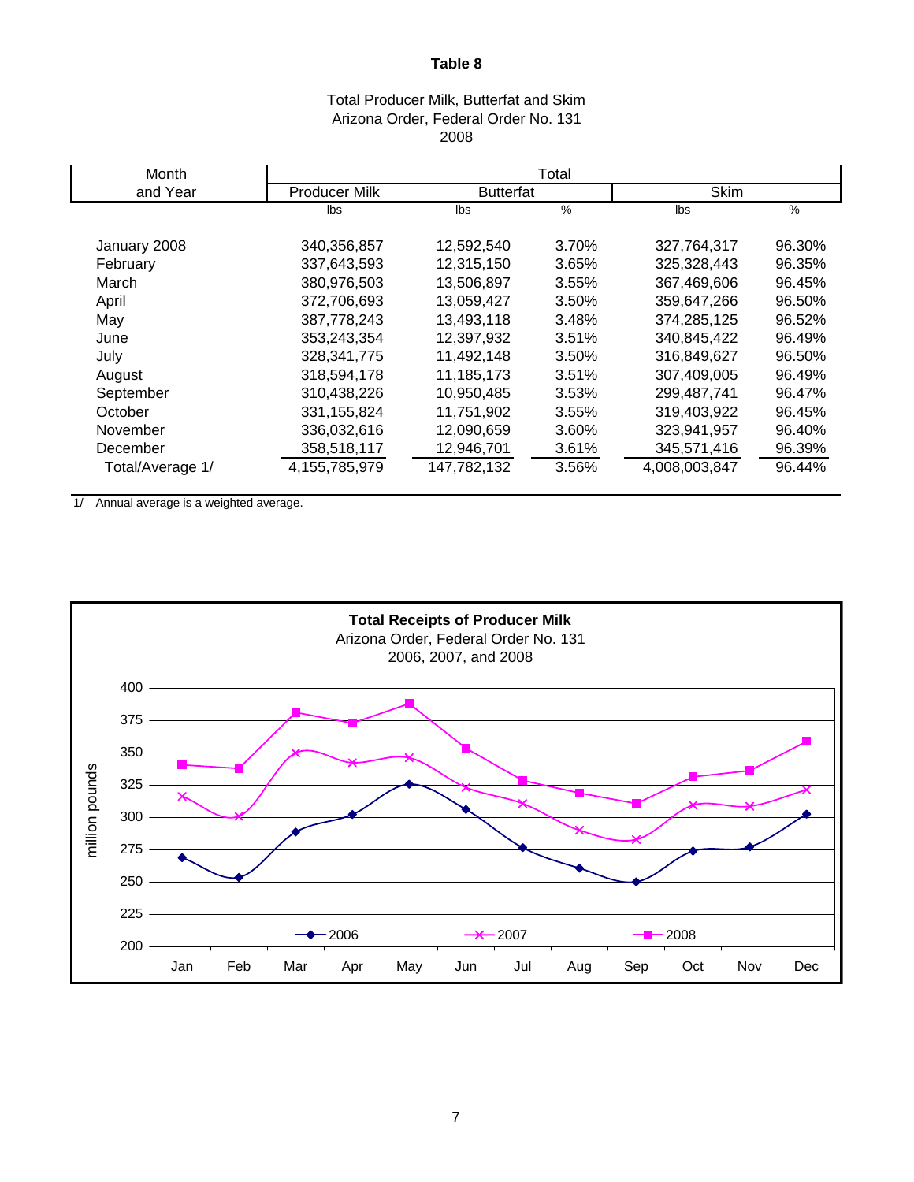## Total Producer Milk, Butterfat and Skim Arizona Order, Federal Order No. 131 2008

| Month            |                      |                  |          |               |        |
|------------------|----------------------|------------------|----------|---------------|--------|
| and Year         | <b>Producer Milk</b> | <b>Butterfat</b> |          | <b>Skim</b>   |        |
|                  | lbs                  | lbs              | %        | lbs           | $\%$   |
| January 2008     | 340,356,857          | 12,592,540       | 3.70%    | 327,764,317   | 96.30% |
| February         | 337,643,593          | 12,315,150       | 3.65%    | 325,328,443   | 96.35% |
| March            | 380,976,503          | 13,506,897       | 3.55%    | 367,469,606   | 96.45% |
| April            | 372,706,693          | 13,059,427       | 3.50%    | 359,647,266   | 96.50% |
| May              | 387,778,243          | 13,493,118       | 3.48%    | 374,285,125   | 96.52% |
| June             | 353,243,354          | 12,397,932       | 3.51%    | 340,845,422   | 96.49% |
| July             | 328.341.775          | 11.492.148       | 3.50%    | 316.849.627   | 96.50% |
| August           | 318.594.178          | 11.185.173       | 3.51%    | 307,409,005   | 96.49% |
| September        | 310,438,226          | 10,950,485       | 3.53%    | 299,487,741   | 96.47% |
| October          | 331,155,824          | 11,751,902       | 3.55%    | 319,403,922   | 96.45% |
| November         | 336,032,616          | 12,090,659       | 3.60%    | 323,941,957   | 96.40% |
| December         | 358,518,117          | 12,946,701       | $3.61\%$ | 345,571,416   | 96.39% |
| Total/Average 1/ | 4,155,785,979        | 147,782,132      | 3.56%    | 4,008,003,847 | 96.44% |

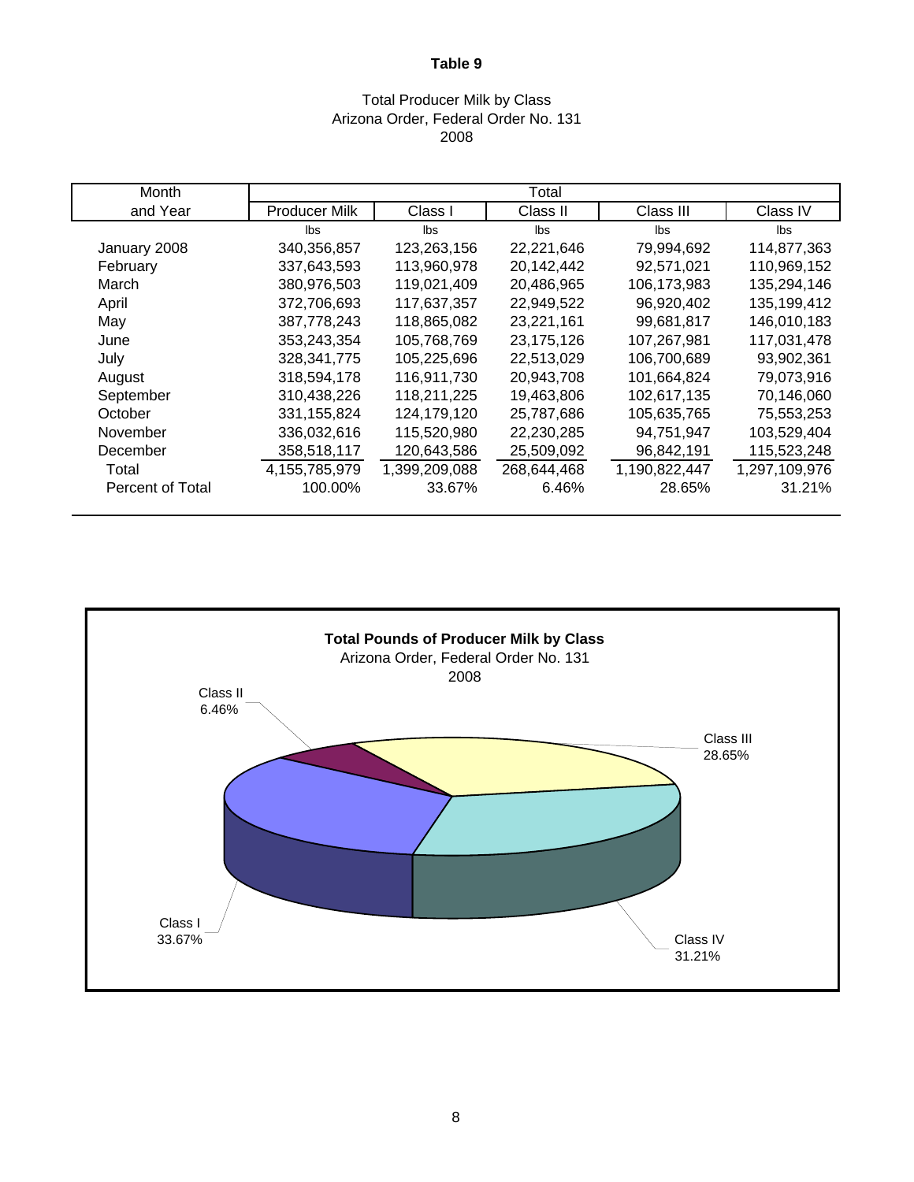#### Total Producer Milk by Class Arizona Order, Federal Order No. 131 2008

| Month            |                      |               | Total       |               |               |
|------------------|----------------------|---------------|-------------|---------------|---------------|
| and Year         | <b>Producer Milk</b> | Class I       | Class II    | Class III     | Class IV      |
|                  | lbs                  | lbs           | lbs         | lbs           | lbs           |
| January 2008     | 340,356,857          | 123,263,156   | 22,221,646  | 79,994,692    | 114,877,363   |
| February         | 337,643,593          | 113,960,978   | 20,142,442  | 92,571,021    | 110,969,152   |
| March            | 380,976,503          | 119,021,409   | 20,486,965  | 106,173,983   | 135,294,146   |
| April            | 372,706,693          | 117,637,357   | 22,949,522  | 96,920,402    | 135,199,412   |
| May              | 387,778,243          | 118,865,082   | 23,221,161  | 99,681,817    | 146,010,183   |
| June             | 353,243,354          | 105,768,769   | 23,175,126  | 107,267,981   | 117,031,478   |
| July             | 328, 341, 775        | 105,225,696   | 22,513,029  | 106,700,689   | 93,902,361    |
| August           | 318,594,178          | 116,911,730   | 20,943,708  | 101,664,824   | 79,073,916    |
| September        | 310,438,226          | 118,211,225   | 19,463,806  | 102,617,135   | 70,146,060    |
| October          | 331,155,824          | 124,179,120   | 25,787,686  | 105,635,765   | 75,553,253    |
| November         | 336,032,616          | 115,520,980   | 22,230,285  | 94,751,947    | 103,529,404   |
| December         | 358,518,117          | 120,643,586   | 25,509,092  | 96,842,191    | 115,523,248   |
| Total            | 4,155,785,979        | 1,399,209,088 | 268,644,468 | 1,190,822,447 | 1,297,109,976 |
| Percent of Total | 100.00%              | 33.67%        | 6.46%       | 28.65%        | 31.21%        |

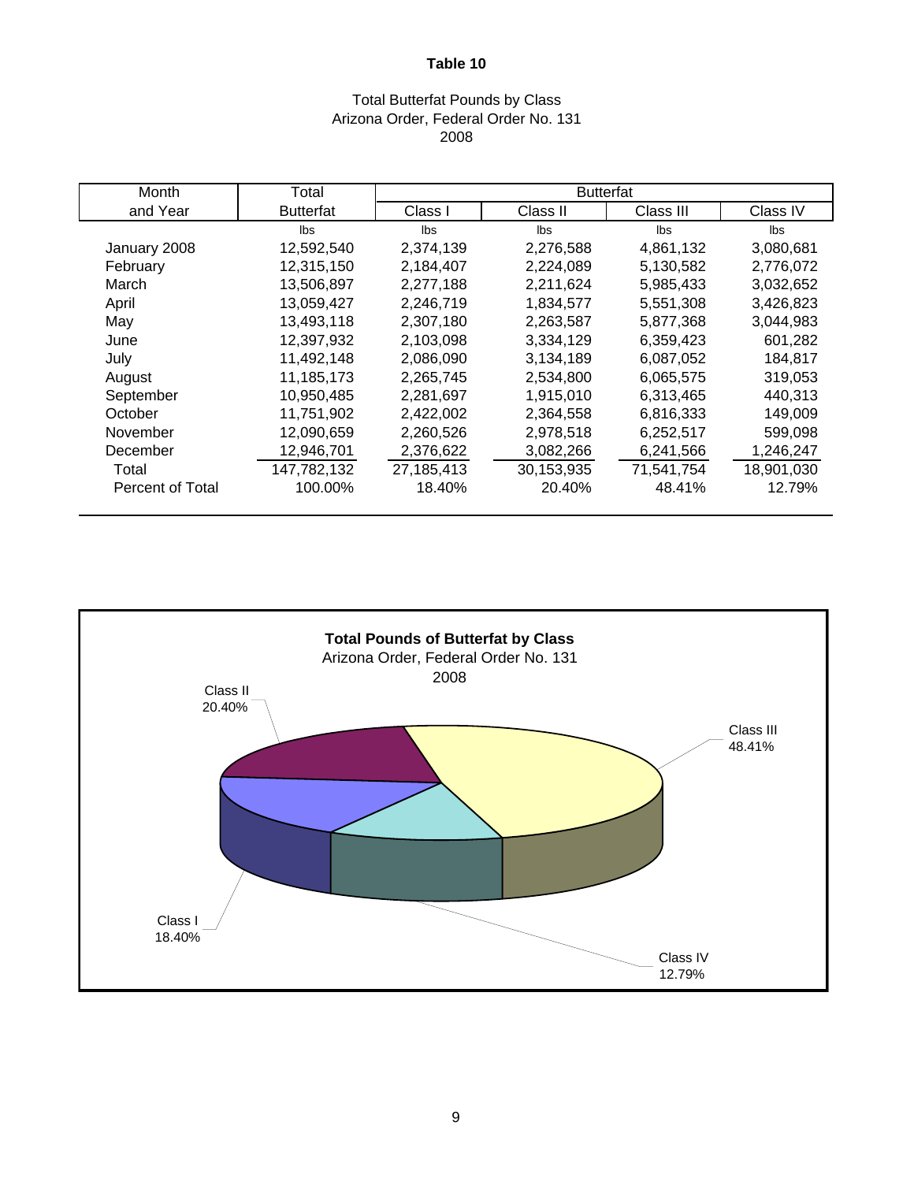#### Total Butterfat Pounds by Class Arizona Order, Federal Order No. 131 2008

| Month            | Total            |            | <b>Butterfat</b> |            |            |
|------------------|------------------|------------|------------------|------------|------------|
| and Year         | <b>Butterfat</b> | Class I    | Class II         | Class III  | Class IV   |
|                  | lbs              | Ibs        | lbs              | lbs        | lbs        |
| January 2008     | 12,592,540       | 2,374,139  | 2,276,588        | 4,861,132  | 3,080,681  |
| February         | 12,315,150       | 2,184,407  | 2,224,089        | 5,130,582  | 2,776,072  |
| March            | 13,506,897       | 2,277,188  | 2,211,624        | 5,985,433  | 3,032,652  |
| April            | 13,059,427       | 2,246,719  | 1,834,577        | 5,551,308  | 3,426,823  |
| May              | 13,493,118       | 2,307,180  | 2,263,587        | 5,877,368  | 3,044,983  |
| June             | 12,397,932       | 2,103,098  | 3,334,129        | 6,359,423  | 601,282    |
| July             | 11,492,148       | 2,086,090  | 3,134,189        | 6,087,052  | 184,817    |
| August           | 11,185,173       | 2,265,745  | 2,534,800        | 6,065,575  | 319,053    |
| September        | 10,950,485       | 2,281,697  | 1,915,010        | 6,313,465  | 440,313    |
| October          | 11,751,902       | 2,422,002  | 2,364,558        | 6,816,333  | 149,009    |
| November         | 12,090,659       | 2,260,526  | 2,978,518        | 6,252,517  | 599,098    |
| December         | 12,946,701       | 2,376,622  | 3,082,266        | 6,241,566  | 1,246,247  |
| Total            | 147,782,132      | 27,185,413 | 30,153,935       | 71,541,754 | 18,901,030 |
| Percent of Total | 100.00%          | 18.40%     | 20.40%           | 48.41%     | 12.79%     |

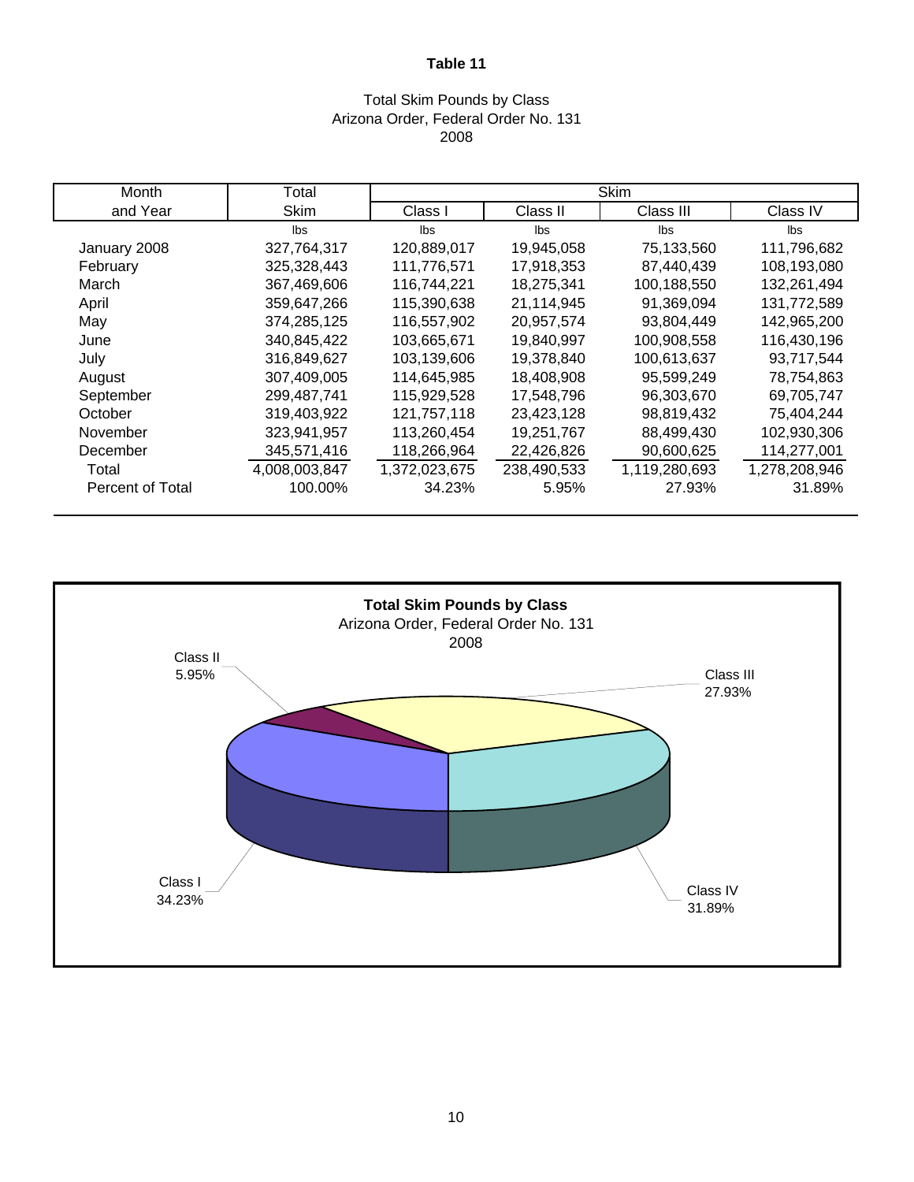#### Total Skim Pounds by Class Arizona Order, Federal Order No. 131 2008

| Month                   | Total         | <b>Skim</b>   |             |               |               |  |  |  |  |
|-------------------------|---------------|---------------|-------------|---------------|---------------|--|--|--|--|
| and Year                | <b>Skim</b>   | Class I       | Class II    | Class III     | Class IV      |  |  |  |  |
|                         | lbs           | lbs           | lbs         | Ibs           | lbs           |  |  |  |  |
| January 2008            | 327,764,317   | 120,889,017   | 19,945,058  | 75,133,560    | 111,796,682   |  |  |  |  |
| February                | 325,328,443   | 111,776,571   | 17,918,353  | 87,440,439    | 108,193,080   |  |  |  |  |
| March                   | 367,469,606   | 116,744,221   | 18,275,341  | 100,188,550   | 132,261,494   |  |  |  |  |
| April                   | 359,647,266   | 115,390,638   | 21,114,945  | 91,369,094    | 131,772,589   |  |  |  |  |
| May                     | 374,285,125   | 116,557,902   | 20,957,574  | 93,804,449    | 142,965,200   |  |  |  |  |
| June                    | 340,845,422   | 103,665,671   | 19,840,997  | 100,908,558   | 116,430,196   |  |  |  |  |
| July                    | 316,849,627   | 103,139,606   | 19,378,840  | 100,613,637   | 93,717,544    |  |  |  |  |
| August                  | 307,409,005   | 114,645,985   | 18,408,908  | 95,599,249    | 78,754,863    |  |  |  |  |
| September               | 299,487,741   | 115,929,528   | 17,548,796  | 96,303,670    | 69,705,747    |  |  |  |  |
| October                 | 319,403,922   | 121,757,118   | 23,423,128  | 98,819,432    | 75,404,244    |  |  |  |  |
| November                | 323,941,957   | 113,260,454   | 19,251,767  | 88,499,430    | 102,930,306   |  |  |  |  |
| December                | 345,571,416   | 118,266,964   | 22,426,826  | 90,600,625    | 114,277,001   |  |  |  |  |
| Total                   | 4,008,003,847 | 1,372,023,675 | 238,490,533 | 1,119,280,693 | 1,278,208,946 |  |  |  |  |
| <b>Percent of Total</b> | 100.00%       | 34.23%        | 5.95%       | 27.93%        | 31.89%        |  |  |  |  |

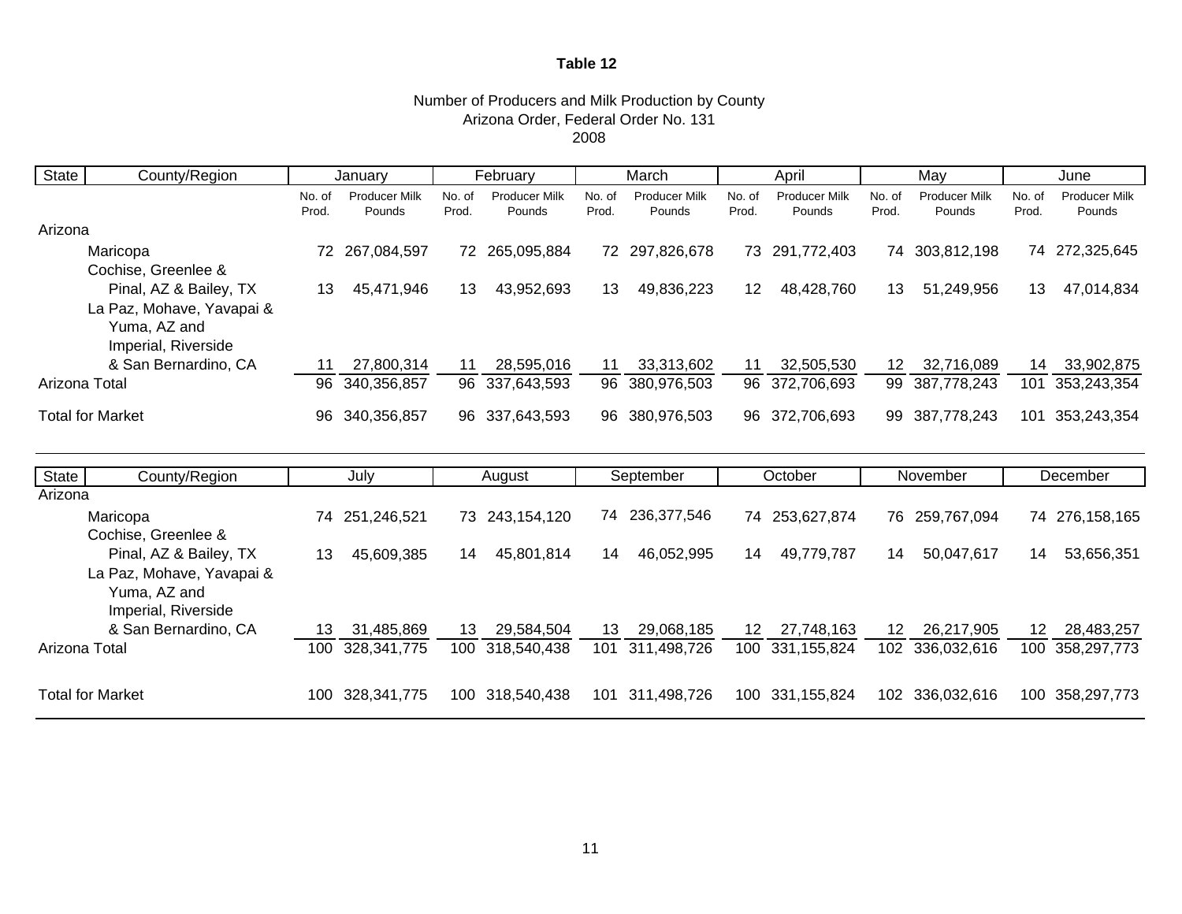## Number of Producers and Milk Production by County Arizona Order, Federal Order No. 131

2008

| <b>State</b>  | County/Region                                                    |                 | January                 |                 | February                       |                 | March                          |                 | April                          | May             |                                |                 | June                           |
|---------------|------------------------------------------------------------------|-----------------|-------------------------|-----------------|--------------------------------|-----------------|--------------------------------|-----------------|--------------------------------|-----------------|--------------------------------|-----------------|--------------------------------|
|               |                                                                  | No. of<br>Prod. | Producer Milk<br>Pounds | No. of<br>Prod. | <b>Producer Milk</b><br>Pounds | No. of<br>Prod. | <b>Producer Milk</b><br>Pounds | No. of<br>Prod. | <b>Producer Milk</b><br>Pounds | No. of<br>Prod. | <b>Producer Milk</b><br>Pounds | No. of<br>Prod. | <b>Producer Milk</b><br>Pounds |
| Arizona       |                                                                  |                 |                         |                 |                                |                 |                                |                 |                                |                 |                                |                 |                                |
|               | Maricopa                                                         | 72              | 267,084,597             | 72              | 265,095,884                    |                 | 72 297,826,678                 | 73              | 291,772,403                    |                 | 74 303,812,198                 |                 | 74 272,325,645                 |
|               | Cochise, Greenlee &<br>Pinal, AZ & Bailey, TX                    | 13              | 45,471,946              | 13              | 43,952,693                     | 13              | 49,836,223                     | 12              | 48,428,760                     | 13.             | 51,249,956                     | 13              | 47,014,834                     |
|               | La Paz, Mohave, Yavapai &<br>Yuma, AZ and<br>Imperial, Riverside |                 |                         |                 |                                |                 |                                |                 |                                |                 |                                |                 |                                |
|               | & San Bernardino, CA                                             | 11              | 27,800,314              | 11              | 28,595,016                     | 11              | 33,313,602                     | 11              | 32,505,530                     | 12 <sup>°</sup> | 32,716,089                     | 14              | 33,902,875                     |
| Arizona Total |                                                                  | 96              | 340,356,857             |                 | 96 337,643,593                 |                 | 96 380,976,503                 |                 | 96 372,706,693                 | 99              | 387,778,243                    | 101             | 353,243,354                    |
|               | <b>Total for Market</b>                                          | 96.             | 340,356,857             |                 | 96 337,643,593                 | 96              | 380,976,503                    |                 | 96 372,706,693                 | 99              | 387,778,243                    | 101             | 353,243,354                    |
| O(1)          | $O_{\text{cutoff}}$ $\overline{O_{\text{cutoff}}}$               |                 | 1.1.1.                  |                 | $\Lambda$                      |                 | Cantambar                      |                 | $Q_{\text{atab}}$              |                 | National Asset                 |                 | Desamber.                      |

| State         | County/Region             |     | July        |     | August         |     | September      |    | October         |                 | November        |    | December        |
|---------------|---------------------------|-----|-------------|-----|----------------|-----|----------------|----|-----------------|-----------------|-----------------|----|-----------------|
| Arizona       |                           |     |             |     |                |     |                |    |                 |                 |                 |    |                 |
|               | Maricopa                  | 74  | 251,246,521 |     | 73 243,154,120 |     | 74 236,377,546 |    | 74 253,627,874  |                 | 76 259,767,094  |    | 74 276,158,165  |
|               | Cochise, Greenlee &       |     |             |     |                |     |                |    |                 |                 |                 |    |                 |
|               | Pinal, AZ & Bailey, TX    | 13  | 45,609,385  | 14  | 45,801,814     | 14  | 46.052.995     | 14 | 49.779.787      | 14              | 50,047,617      | 14 | 53,656,351      |
|               | La Paz, Mohave, Yavapai & |     |             |     |                |     |                |    |                 |                 |                 |    |                 |
|               | Yuma, AZ and              |     |             |     |                |     |                |    |                 |                 |                 |    |                 |
|               | Imperial, Riverside       |     |             |     |                |     |                |    |                 |                 |                 |    |                 |
|               | & San Bernardino, CA      | 13  | 31.485.869  | 13  | 29.584.504     | 13  | 29,068,185     | 12 | 27,748,163      | 12 <sup>1</sup> | 26,217,905      | 12 | 28,483,257      |
| Arizona Total |                           | 100 | 328,341,775 | 100 | 318.540.438    | 101 | 311,498,726    |    | 100 331,155,824 |                 | 102 336,032,616 |    | 100 358,297,773 |
|               |                           |     |             |     |                |     |                |    |                 |                 |                 |    |                 |
|               | <b>Total for Market</b>   | 100 | 328,341,775 | 100 | 318.540.438    | 101 | 311,498,726    |    | 100 331,155,824 |                 | 102 336,032,616 |    | 100 358,297,773 |
|               |                           |     |             |     |                |     |                |    |                 |                 |                 |    |                 |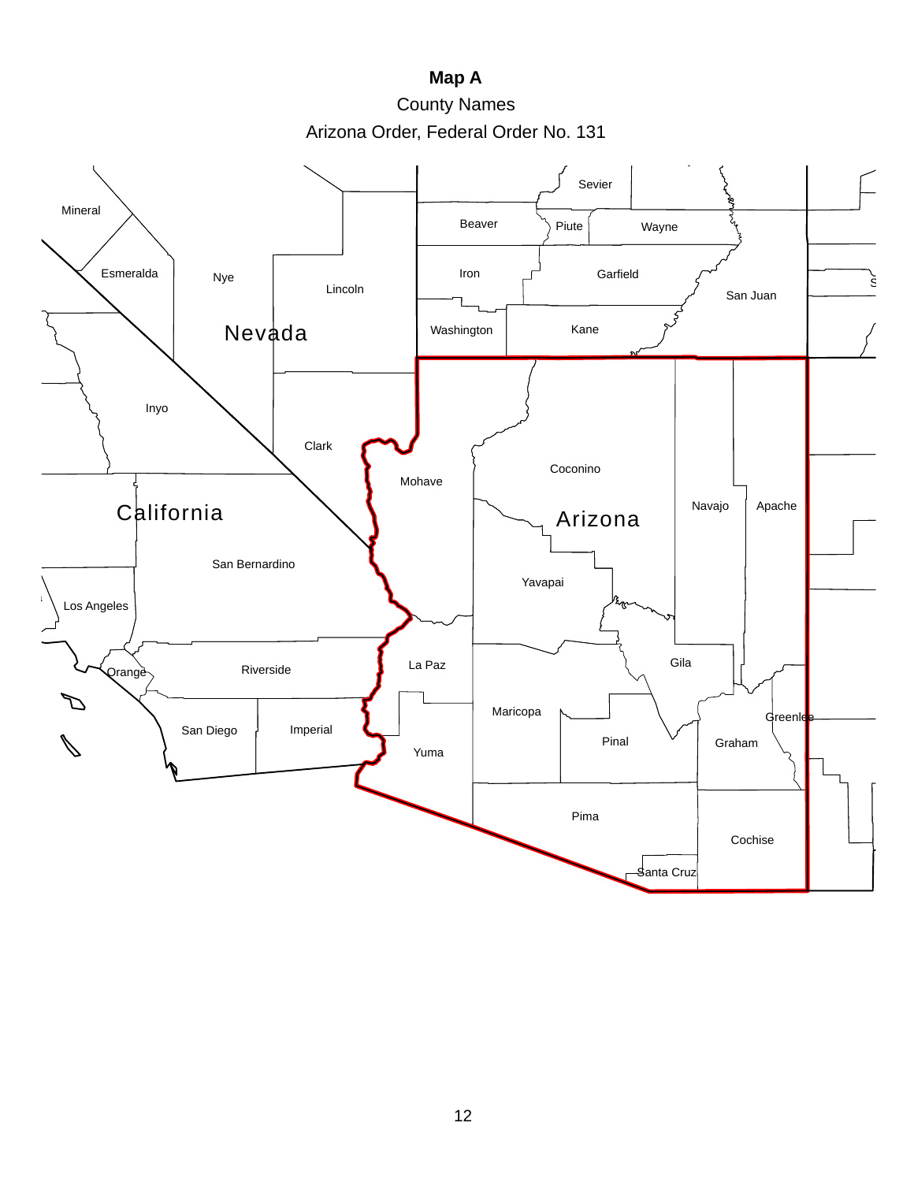**Map A**

County Names

Arizona Order, Federal Order No. 131

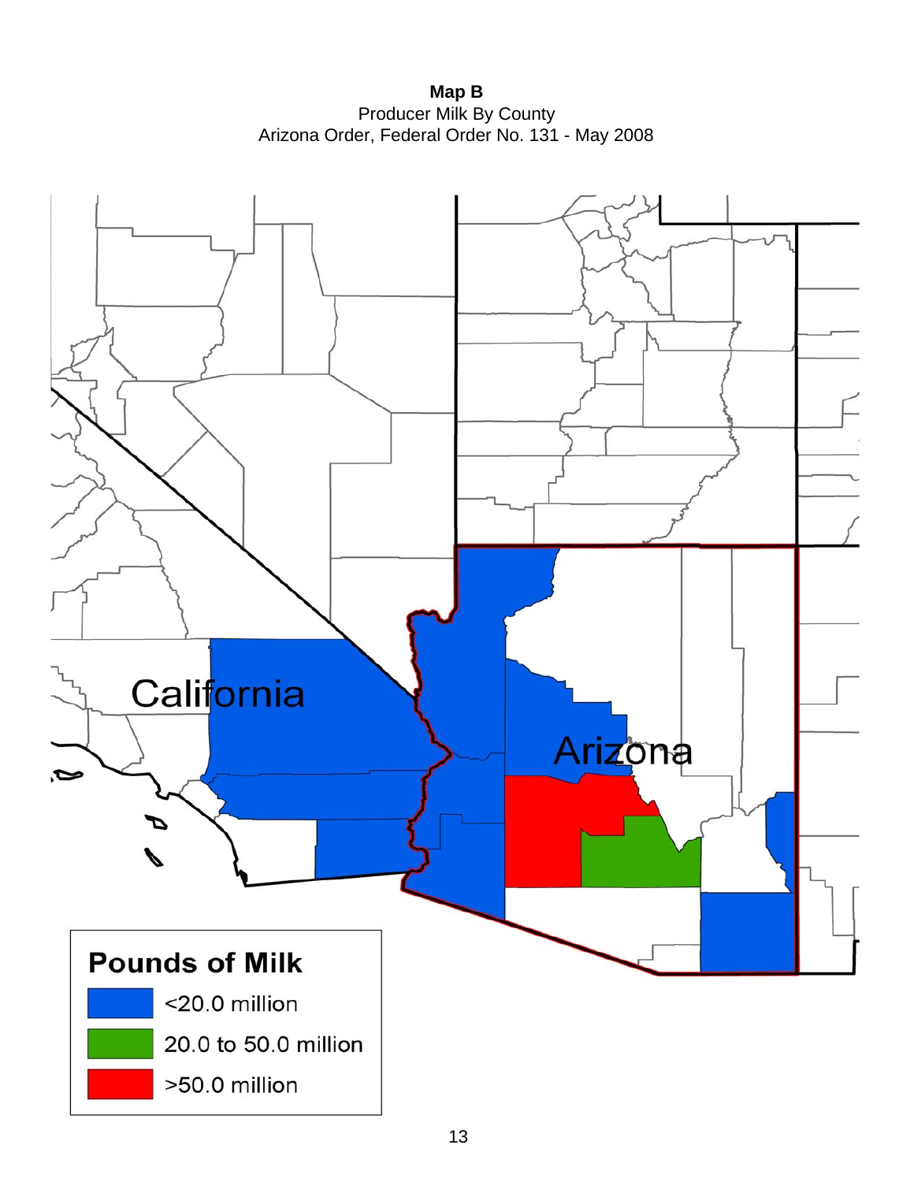**Map B** Producer Milk By County Arizona Order, Federal Order No. 131 - May 2008

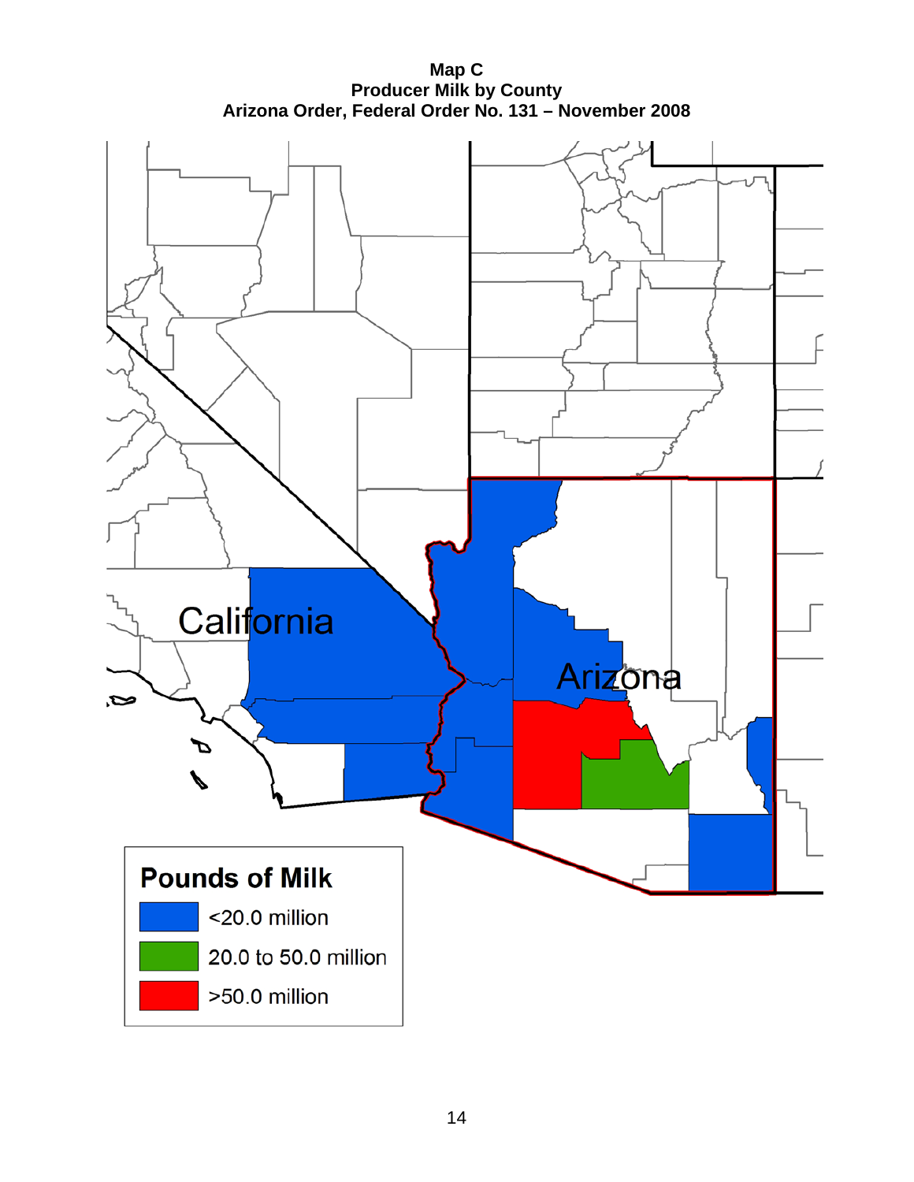**Map C Producer Milk by County Arizona Order, Federal Order No. 131 – November 2008** 

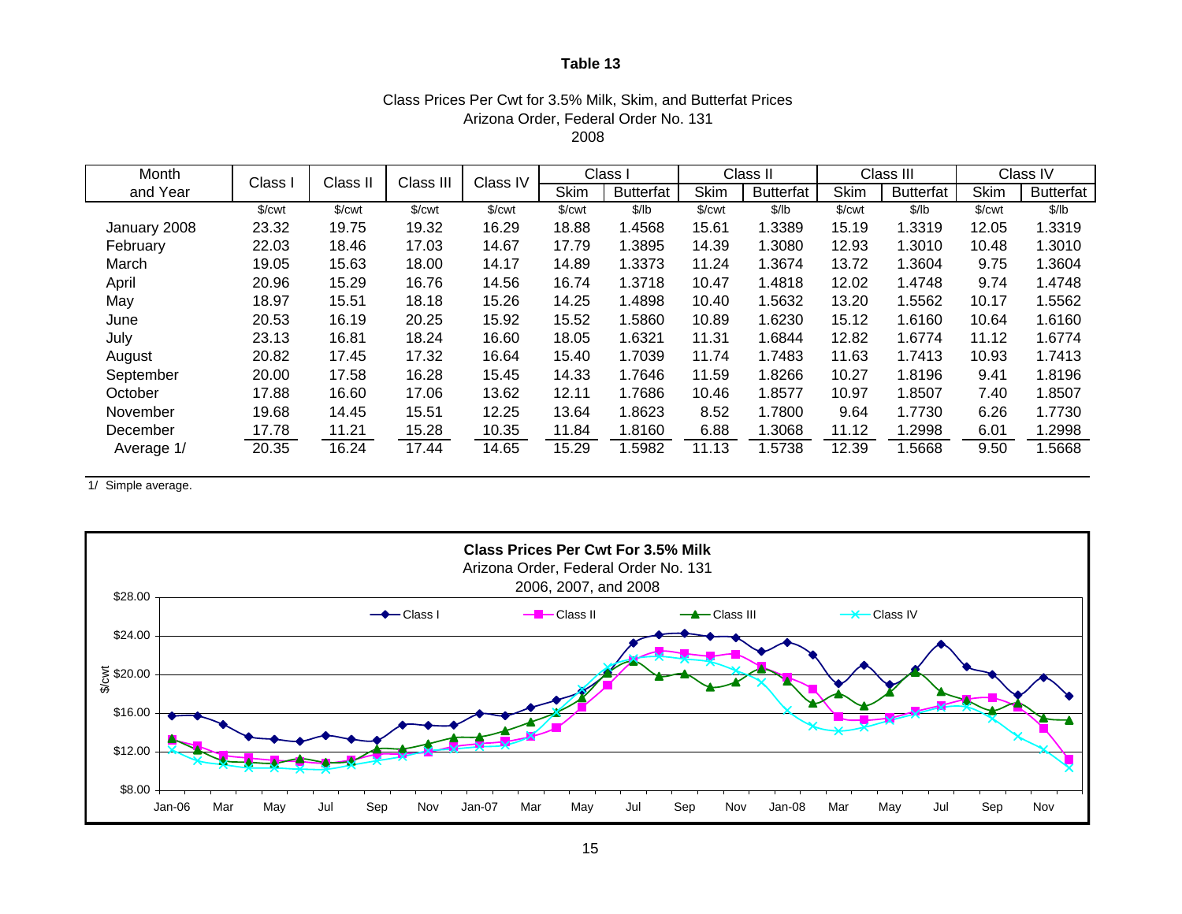#### Class Prices Per Cwt for 3.5% Milk, Skim, and Butterfat Prices Arizona Order, Federal Order No. 131 2008

| Month        | Class I            | Class II | Class III | Class IV             |             | Class I          |             | Class II         |                      | Class III        |                      | Class IV         |
|--------------|--------------------|----------|-----------|----------------------|-------------|------------------|-------------|------------------|----------------------|------------------|----------------------|------------------|
| and Year     |                    |          |           |                      | <b>Skim</b> | <b>Butterfat</b> | <b>Skim</b> | <b>Butterfat</b> | <b>Skim</b>          | <b>Butterfat</b> | <b>Skim</b>          | <b>Butterfat</b> |
|              | \$/ <sub>cut</sub> | \$/cwt   | \$/cwt    | $\sqrt{\frac{2}{1}}$ | \$/cwt      | \$/lb            | \$/cwt      | \$/lb            | $\sqrt{\frac{2}{1}}$ | \$/lb            | $\sqrt{\frac{2}{1}}$ | \$/lb            |
| January 2008 | 23.32              | 19.75    | 19.32     | 16.29                | 18.88       | .4568            | 15.61       | 1.3389           | 15.19                | 1.3319           | 12.05                | 1.3319           |
| February     | 22.03              | 18.46    | 17.03     | 14.67                | 17.79       | 1.3895           | 14.39       | 1.3080           | 12.93                | 1.3010           | 10.48                | 1.3010           |
| March        | 19.05              | 15.63    | 18.00     | 14.17                | 14.89       | 1.3373           | 11.24       | 1.3674           | 13.72                | 1.3604           | 9.75                 | 1.3604           |
| April        | 20.96              | 15.29    | 16.76     | 14.56                | 16.74       | 1.3718           | 10.47       | 1.4818           | 12.02                | 1.4748           | 9.74                 | 1.4748           |
| May          | 18.97              | 15.51    | 18.18     | 15.26                | 14.25       | 1.4898           | 10.40       | 1.5632           | 13.20                | 1.5562           | 10.17                | 1.5562           |
| June         | 20.53              | 16.19    | 20.25     | 15.92                | 15.52       | 1.5860           | 10.89       | 1.6230           | 15.12                | 1.6160           | 10.64                | 1.6160           |
| July         | 23.13              | 16.81    | 18.24     | 16.60                | 18.05       | 1.6321           | 11.31       | 1.6844           | 12.82                | 1.6774           | 11.12                | 1.6774           |
| August       | 20.82              | 17.45    | 17.32     | 16.64                | 15.40       | 1.7039           | 11.74       | 1.7483           | 11.63                | 1.7413           | 10.93                | 1.7413           |
| September    | 20.00              | 17.58    | 16.28     | 15.45                | 14.33       | 1.7646           | 11.59       | 1.8266           | 10.27                | 1.8196           | 9.41                 | 1.8196           |
| October      | 17.88              | 16.60    | 17.06     | 13.62                | 12.11       | 1.7686           | 10.46       | 1.8577           | 10.97                | 1.8507           | 7.40                 | 1.8507           |
| November     | 19.68              | 14.45    | 15.51     | 12.25                | 13.64       | 1.8623           | 8.52        | 1.7800           | 9.64                 | 1.7730           | 6.26                 | 1.7730           |
| December     | 17.78              | 11.21    | 15.28     | 10.35                | 11.84       | 1.8160           | 6.88        | 1.3068           | 11.12                | 1.2998           | 6.01                 | 1.2998           |
| Average 1/   | 20.35              | 16.24    | 17.44     | 14.65                | 15.29       | .5982            | 11.13       | .5738            | 12.39                | .5668            | 9.50                 | 1.5668           |

1/ Simple average.

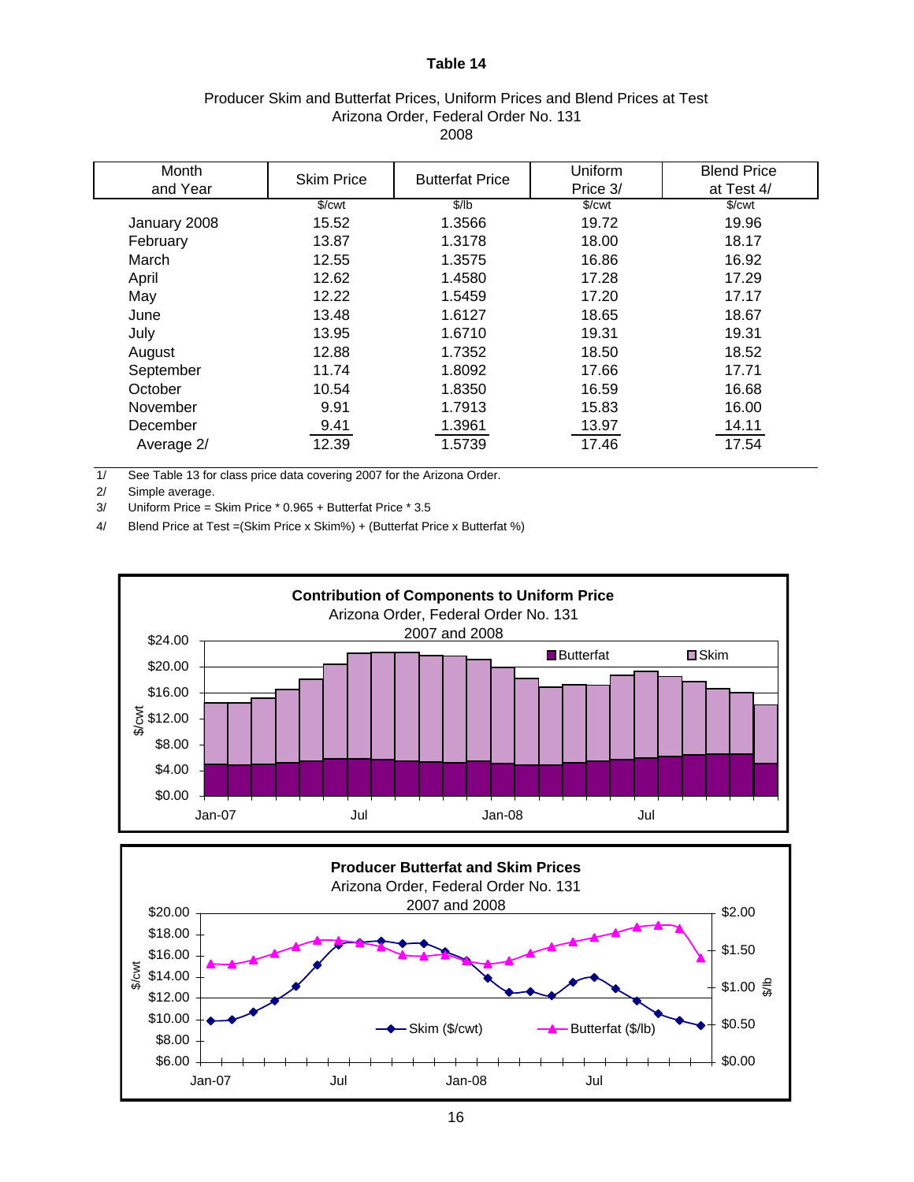| Producer Skim and Butterfat Prices, Uniform Prices and Blend Prices at Test |  |
|-----------------------------------------------------------------------------|--|
| Arizona Order, Federal Order No. 131                                        |  |
| 2008                                                                        |  |

| Month        | <b>Skim Price</b>    | <b>Butterfat Price</b> | Uniform              | <b>Blend Price</b>   |
|--------------|----------------------|------------------------|----------------------|----------------------|
| and Year     |                      |                        | Price 3/             | at Test 4/           |
|              | $\sqrt{\frac{2}{1}}$ | \$/lb                  | $\sqrt{\frac{2}{2}}$ | $%$ / $\mathsf{cwt}$ |
| January 2008 | 15.52                | 1.3566                 | 19.72                | 19.96                |
| February     | 13.87                | 1.3178                 | 18.00                | 18.17                |
| March        | 12.55                | 1.3575                 | 16.86                | 16.92                |
| April        | 12.62                | 1.4580                 | 17.28                | 17.29                |
| May          | 12.22                | 1.5459                 | 17.20                | 17.17                |
| June         | 13.48                | 1.6127                 | 18.65                | 18.67                |
| July         | 13.95                | 1.6710                 | 19.31                | 19.31                |
| August       | 12.88                | 1.7352                 | 18.50                | 18.52                |
| September    | 11.74                | 1.8092                 | 17.66                | 17.71                |
| October      | 10.54                | 1.8350                 | 16.59                | 16.68                |
| November     | 9.91                 | 1.7913                 | 15.83                | 16.00                |
| December     | 9.41                 | 1.3961                 | 13.97                | 14.11                |
| Average 2/   | 12.39                | 1.5739                 | 17.46                | 17.54                |

1/ See Table 13 for class price data covering 2007 for the Arizona Order.

2/ Simple average.

3/ Uniform Price = Skim Price \* 0.965 + Butterfat Price \* 3.5

4/ Blend Price at Test =(Skim Price x Skim%) + (Butterfat Price x Butterfat %)



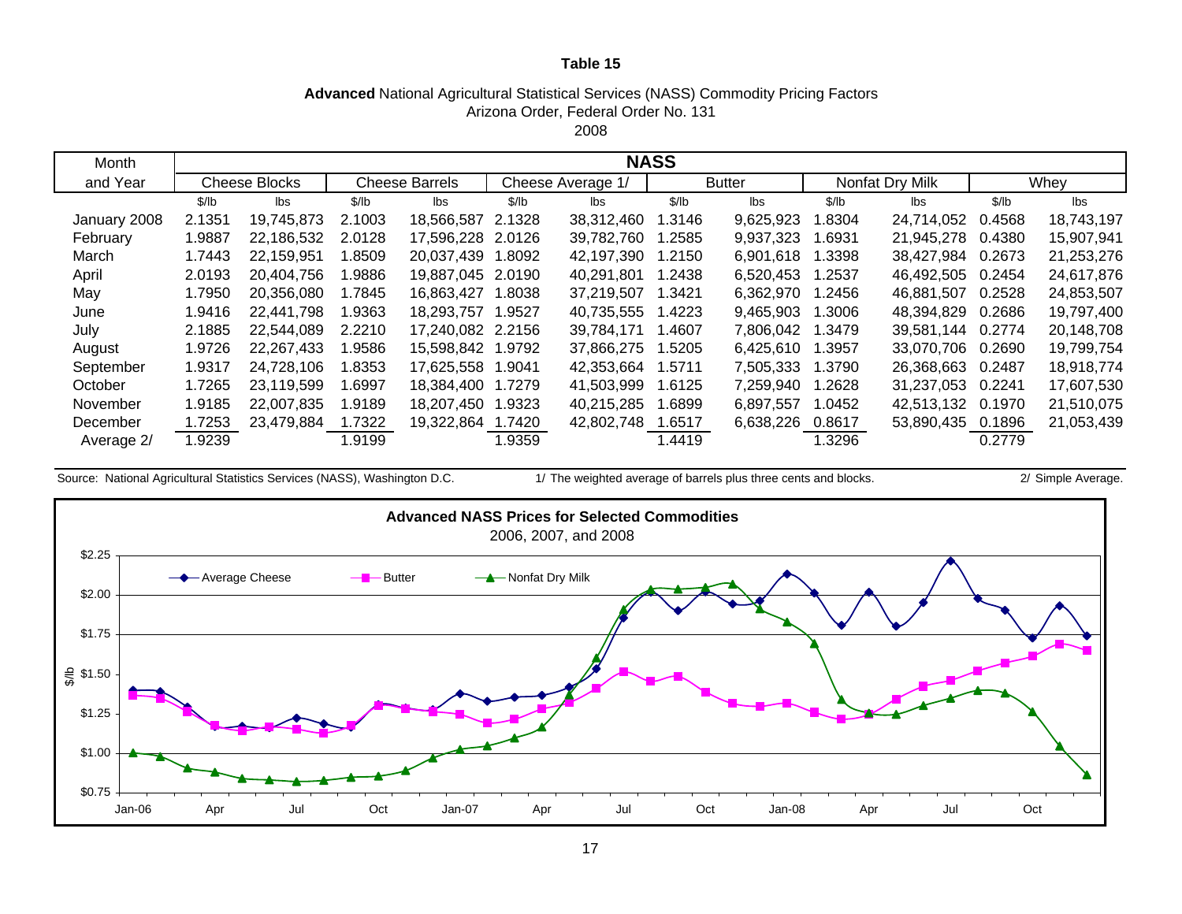## **Advanced** National Agricultural Statistical Services (NASS) Commodity Pricing Factors Arizona Order, Federal Order No. 131

2008

| Month        | <b>NASS</b> |                      |        |                       |        |                   |        |               |        |                 |        |            |
|--------------|-------------|----------------------|--------|-----------------------|--------|-------------------|--------|---------------|--------|-----------------|--------|------------|
| and Year     |             | <b>Cheese Blocks</b> |        | <b>Cheese Barrels</b> |        | Cheese Average 1/ |        | <b>Butter</b> |        | Nonfat Dry Milk |        | Whey       |
|              | \$/lb       | lbs                  | \$/lb  | lbs                   | \$/lb  | lbs               | \$/lb  | lbs           | \$/lb  | lbs             | \$/lb  | lbs        |
| January 2008 | 2.1351      | 19,745,873           | 2.1003 | 18,566,587            | 2.1328 | 38,312,460        | .3146  | 9,625,923     | 1.8304 | 24,714,052      | 0.4568 | 18,743,197 |
| February     | 1.9887      | 22,186,532           | 2.0128 | 17,596,228            | 2.0126 | 39,782,760        | .2585  | 9,937,323     | 1.6931 | 21,945,278      | 0.4380 | 15,907,941 |
| March        | 1.7443      | 22,159,951           | 1.8509 | 20,037,439            | 1.8092 | 42,197,390        | .2150  | 6,901,618     | 1.3398 | 38,427,984      | 0.2673 | 21,253,276 |
| April        | 2.0193      | 20,404,756           | 9886.  | 19,887,045            | 2.0190 | 40.291.801        | .2438  | 6,520,453     | 1.2537 | 46,492,505      | 0.2454 | 24,617,876 |
| May          | 1.7950      | 20,356,080           | 1.7845 | 16,863,427            | 8038.  | 37,219,507        | 1.3421 | 6,362,970     | 1.2456 | 46,881,507      | 0.2528 | 24,853,507 |
| June         | 1.9416      | 22,441,798           | 1.9363 | 18,293,757            | 1.9527 | 40,735,555        | .4223  | 9,465,903     | 1.3006 | 48,394,829      | 0.2686 | 19,797,400 |
| July         | 2.1885      | 22,544,089           | 2.2210 | 17,240,082            | 2.2156 | 39,784,171        | .4607  | 7,806,042     | 1.3479 | 39,581,144      | 0.2774 | 20,148,708 |
| August       | 1.9726      | 22,267,433           | 9586.  | 15,598,842            | 1.9792 | 37,866,275        | .5205  | 6,425,610     | 1.3957 | 33,070,706      | 0.2690 | 19,799,754 |
| September    | 1.9317      | 24,728,106           | 1.8353 | 17,625,558            | 1.9041 | 42,353,664        | 1.5711 | 7,505,333     | 1.3790 | 26,368,663      | 0.2487 | 18,918,774 |
| October      | 1.7265      | 23,119,599           | 1.6997 | 18,384,400            | 1.7279 | 41,503,999        | 1.6125 | 7,259,940     | 1.2628 | 31,237,053      | 0.2241 | 17,607,530 |
| November     | 1.9185      | 22,007,835           | 1.9189 | 18,207,450            | 1.9323 | 40,215,285        | .6899  | 6,897,557     | 1.0452 | 42,513,132      | 0.1970 | 21,510,075 |
| December     | 1.7253      | 23,479,884           | 1.7322 | 19,322,864            | 1.7420 | 42,802,748        | .6517  | 6,638,226     | 0.8617 | 53,890,435      | 0.1896 | 21,053,439 |
| Average 2/   | 1.9239      |                      | 1.9199 |                       | 1.9359 |                   | 1.4419 |               | 1.3296 |                 | 0.2779 |            |

Source: National Agricultural Statistics Services (NASS), Washington D.C. 1/ The weighted average of barrels plus three cents and blocks. 2/ Simple Average.

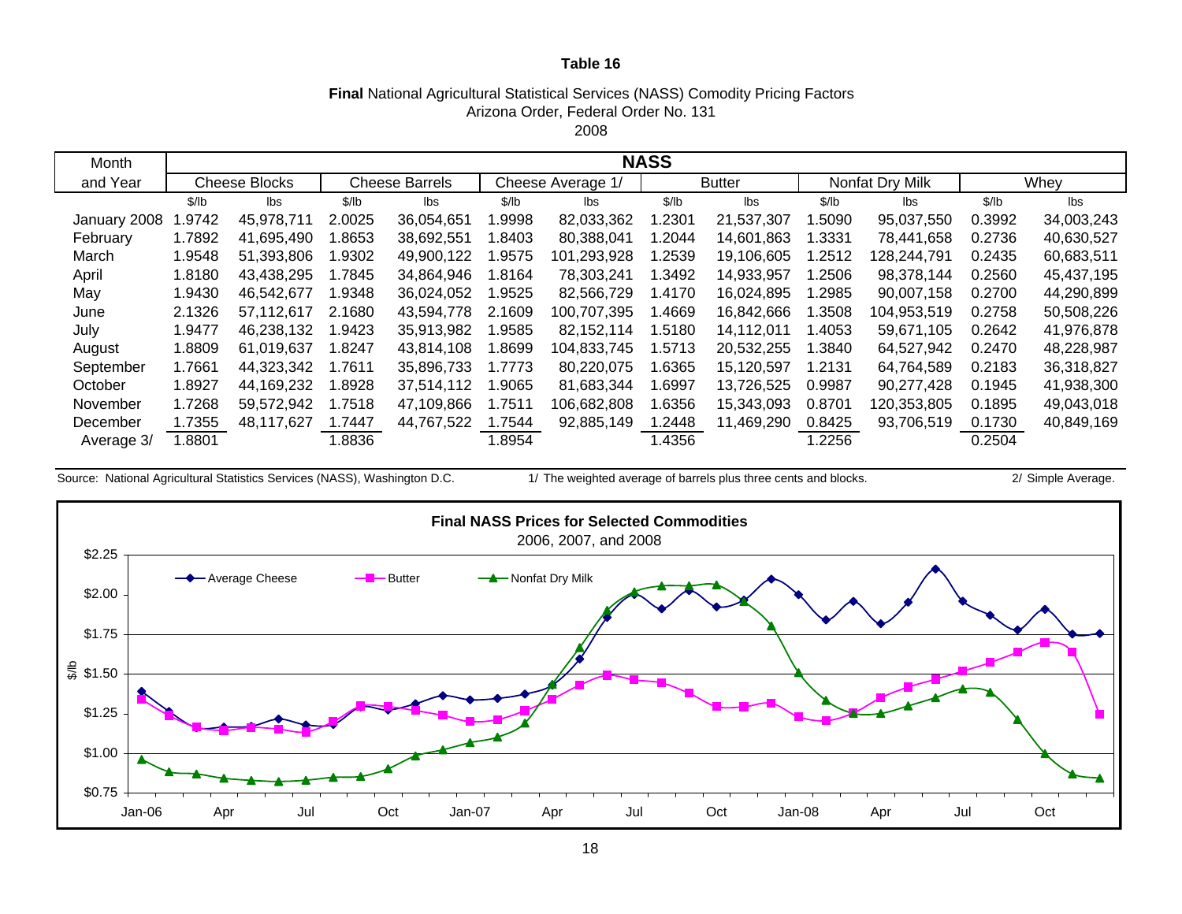#### **Final** National Agricultural Statistical Services (NASS) Comodity Pricing Factors 2008Arizona Order, Federal Order No. 131

| Month        |        | <b>NASS</b>          |        |                       |        |                   |        |               |        |                 |        |            |
|--------------|--------|----------------------|--------|-----------------------|--------|-------------------|--------|---------------|--------|-----------------|--------|------------|
| and Year     |        | <b>Cheese Blocks</b> |        | <b>Cheese Barrels</b> |        | Cheese Average 1/ |        | <b>Butter</b> |        | Nonfat Dry Milk |        | Whey       |
|              | \$/lb  | lbs                  | \$/lb  | lbs                   | \$/lb  | lbs               | \$/lb  | lbs           | \$/lb  | lbs             | \$/lb  | lbs        |
| January 2008 | .9742  | 45,978,711           | 2.0025 | 36,054,651            | .9998  | 82,033,362        | .2301  | 21,537,307    | .5090  | 95,037,550      | 0.3992 | 34,003,243 |
| February     | 1.7892 | 41,695,490           | .8653  | 38,692,551            | .8403  | 80,388,041        | .2044  | 14,601,863    | .3331  | 78,441,658      | 0.2736 | 40,630,527 |
| March        | 1.9548 | 51,393,806           | 1.9302 | 49,900,122            | .9575  | 101,293,928       | 1.2539 | 19,106,605    | .2512  | 128,244,791     | 0.2435 | 60,683,511 |
| April        | 1.8180 | 43.438.295           | 1.7845 | 34,864,946            | l.8164 | 78,303,241        | .3492  | 14,933,957    | .2506  | 98,378,144      | 0.2560 | 45,437,195 |
| May          | 1.9430 | 46,542,677           | 1.9348 | 36,024,052            | .9525  | 82,566,729        | 1.4170 | 16,024,895    | 1.2985 | 90,007,158      | 0.2700 | 44,290,899 |
| June         | 2.1326 | 57,112,617           | 2.1680 | 43,594,778            | 2.1609 | 100,707,395       | .4669  | 16,842,666    | .3508  | 104,953,519     | 0.2758 | 50,508,226 |
| July         | 1.9477 | 46,238,132           | .9423  | 35,913,982            | .9585  | 82,152,114        | 1.5180 | 14,112,011    | .4053  | 59,671,105      | 0.2642 | 41,976,878 |
| August       | 1.8809 | 61,019,637           | .8247  | 43,814,108            | .8699  | 104,833,745       | .5713  | 20,532,255    | .3840  | 64,527,942      | 0.2470 | 48,228,987 |
| September    | 1.7661 | 44,323,342           | 1.7611 | 35,896,733            | 1.7773 | 80,220,075        | 1.6365 | 15,120,597    | 1.2131 | 64,764,589      | 0.2183 | 36,318,827 |
| October      | 1.8927 | 44,169,232           | .8928  | 37,514,112            | .9065  | 81,683,344        | .6997  | 13.726.525    | 0.9987 | 90,277,428      | 0.1945 | 41,938,300 |
| November     | 1.7268 | 59,572,942           | 1.7518 | 47,109,866            | 1.7511 | 106,682,808       | .6356  | 15,343,093    | 0.8701 | 120,353,805     | 0.1895 | 49,043,018 |
| December     | 1.7355 | 48,117,627           | 1.7447 | 44,767,522            | 1.7544 | 92,885,149        | .2448  | 11,469,290    | 0.8425 | 93,706,519      | 0.1730 | 40,849,169 |
| Average 3/   | .8801  |                      | .8836  |                       | 1.8954 |                   | 1.4356 |               | .2256  |                 | 0.2504 |            |

Source: National Agricultural Statistics Services (NASS), Washington D.C. 1/ The weighted average of barrels plus three cents and blocks. 2/ Simple Average.

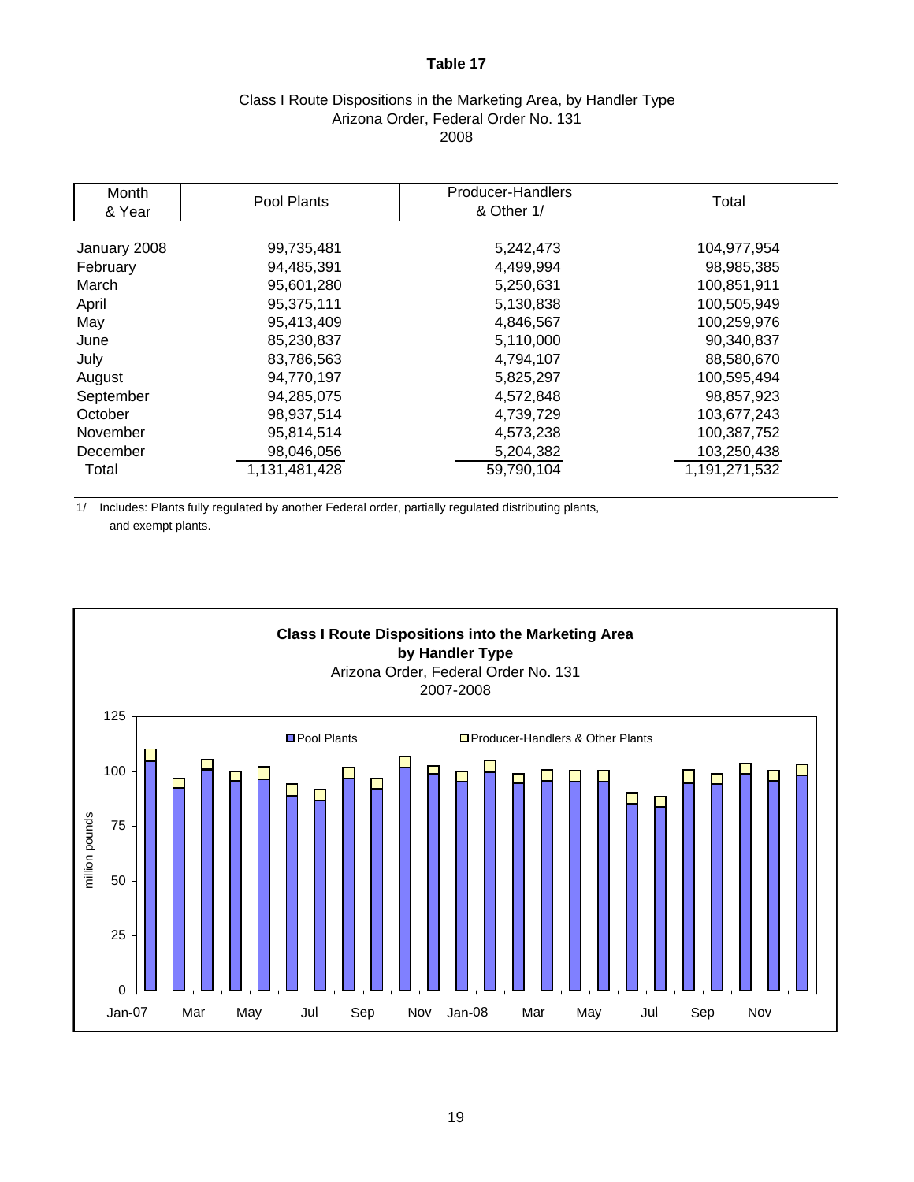## Class I Route Dispositions in the Marketing Area, by Handler Type Arizona Order, Federal Order No. 131 2008

| Month<br>& Year | Pool Plants   | Producer-Handlers<br>& Other 1/ | Total         |
|-----------------|---------------|---------------------------------|---------------|
|                 |               |                                 |               |
| January 2008    | 99,735,481    | 5,242,473                       | 104,977,954   |
| February        | 94,485,391    | 4,499,994                       | 98,985,385    |
| March           | 95.601.280    | 5,250,631                       | 100,851,911   |
| April           | 95,375,111    | 5,130,838                       | 100,505,949   |
| May             | 95,413,409    | 4,846,567                       | 100,259,976   |
| June            | 85,230,837    | 5,110,000                       | 90,340,837    |
| July            | 83,786,563    | 4,794,107                       | 88,580,670    |
| August          | 94,770,197    | 5,825,297                       | 100,595,494   |
| September       | 94,285,075    | 4,572,848                       | 98,857,923    |
| October         | 98,937,514    | 4,739,729                       | 103,677,243   |
| November        | 95,814,514    | 4,573,238                       | 100,387,752   |
| December        | 98,046,056    | 5,204,382                       | 103,250,438   |
| Total           | 1,131,481,428 | 59,790,104                      | 1,191,271,532 |

1/ Includes: Plants fully regulated by another Federal order, partially regulated distributing plants, and exempt plants.